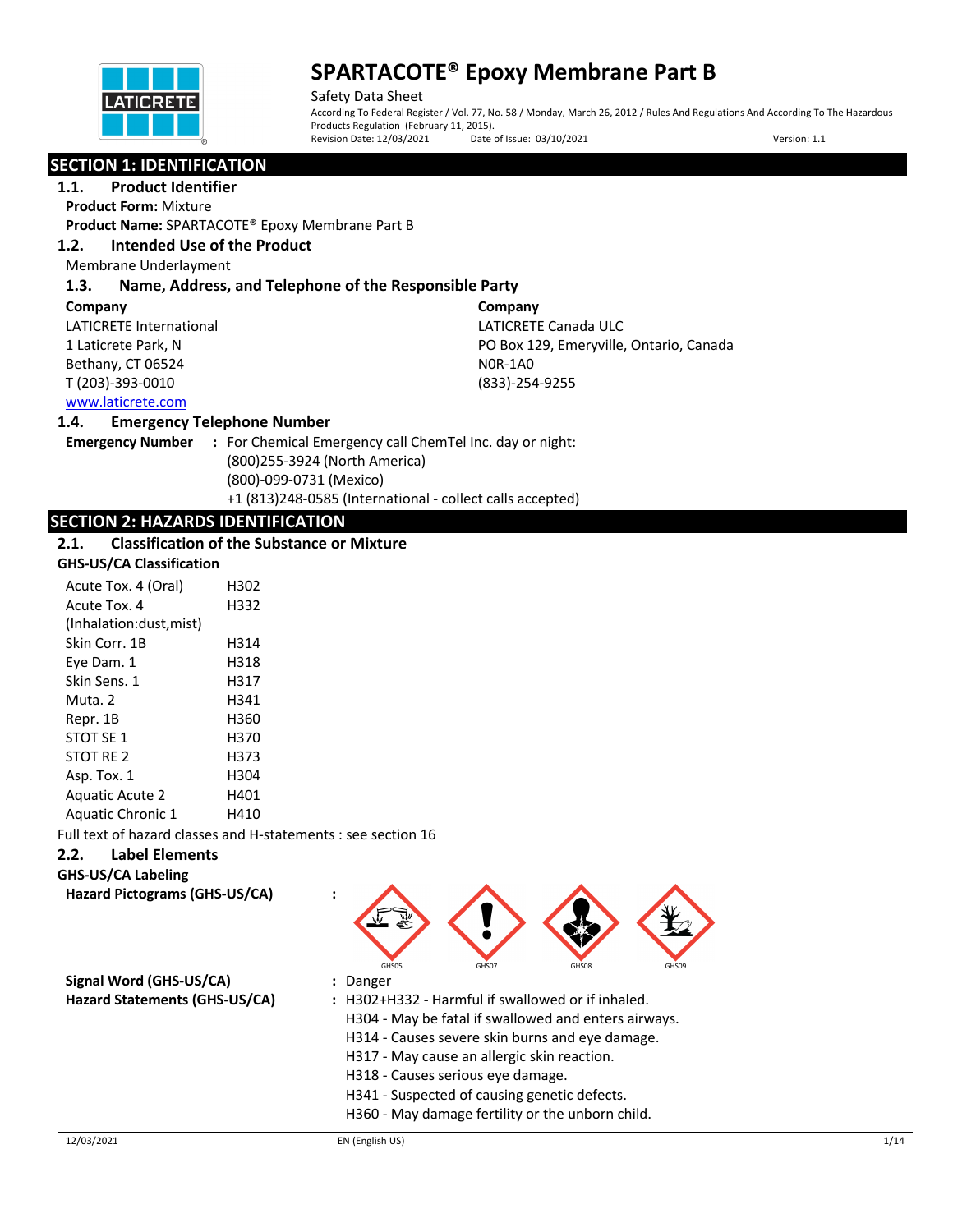

Safety Data Sheet According To Federal Register / Vol. 77, No. 58 / Monday, March 26, 2012 / Rules And Regulations And According To The Hazardous Products Regulation (February 11, 2015).<br>Revision Date: 12/03/2021 Date of Date of Issue: 03/10/2021 Version: 1.1

### **SECTION 1: IDENTIFICATION**

**1.1. Product Identifier Product Form:** Mixture

**Product Name:** SPARTACOTE® Epoxy Membrane Part B

#### **1.2. Intended Use of the Product**

Membrane Underlayment

#### **1.3. Name, Address, and Telephone of the Responsible Party**

#### **Company**

LATICRETE International 1 Laticrete Park, N Bethany, CT 06524 T (203)-393-0010

**Company** LATICRETE Canada ULC PO Box 129, Emeryville, Ontario, Canada N0R-1A0 (833)-254-9255

#### www.laticrete.com

#### **1.4. Emergency Telephone Number**

**Emergency Number :** For Chemical Emergency call ChemTel Inc. day or night: (800)255-3924 (North America) (800)-099-0731 (Mexico) +1 (813)248-0585 (International - collect calls accepted)

### **SECTION 2: HAZARDS IDENTIFICATION**

### **2.1. Classification of the Substance or Mixture**

#### **GHS-US/CA Classification**

| Acute Tox. 4 (Oral)      | H302 |  |
|--------------------------|------|--|
| Acute Tox. 4             | H332 |  |
| (Inhalation:dust, mist)  |      |  |
| Skin Corr. 1B            | H314 |  |
| Eye Dam. 1               | H318 |  |
| Skin Sens. 1             | H317 |  |
| Muta. 2                  | H341 |  |
| Repr. 1B                 | H360 |  |
| STOT SE 1                | H370 |  |
| STOT RE 2                | H373 |  |
| Asp. Tox. 1              | H304 |  |
| <b>Aguatic Acute 2</b>   | H401 |  |
| <b>Aquatic Chronic 1</b> | H410 |  |

Full text of hazard classes and H-statements : see section 16

#### **2.2. Label Elements**

#### **GHS-US/CA Labeling**

**Hazard Pictograms (GHS-US/CA) :**

**Signal Word (GHS-US/CA) :** Danger



- **Hazard Statements (GHS-US/CA) :** H302+H332 Harmful if swallowed or if inhaled.
	- H304 May be fatal if swallowed and enters airways.
	- H314 Causes severe skin burns and eye damage.
	- H317 May cause an allergic skin reaction.
	- H318 Causes serious eye damage.
	- H341 Suspected of causing genetic defects.
	- H360 May damage fertility or the unborn child.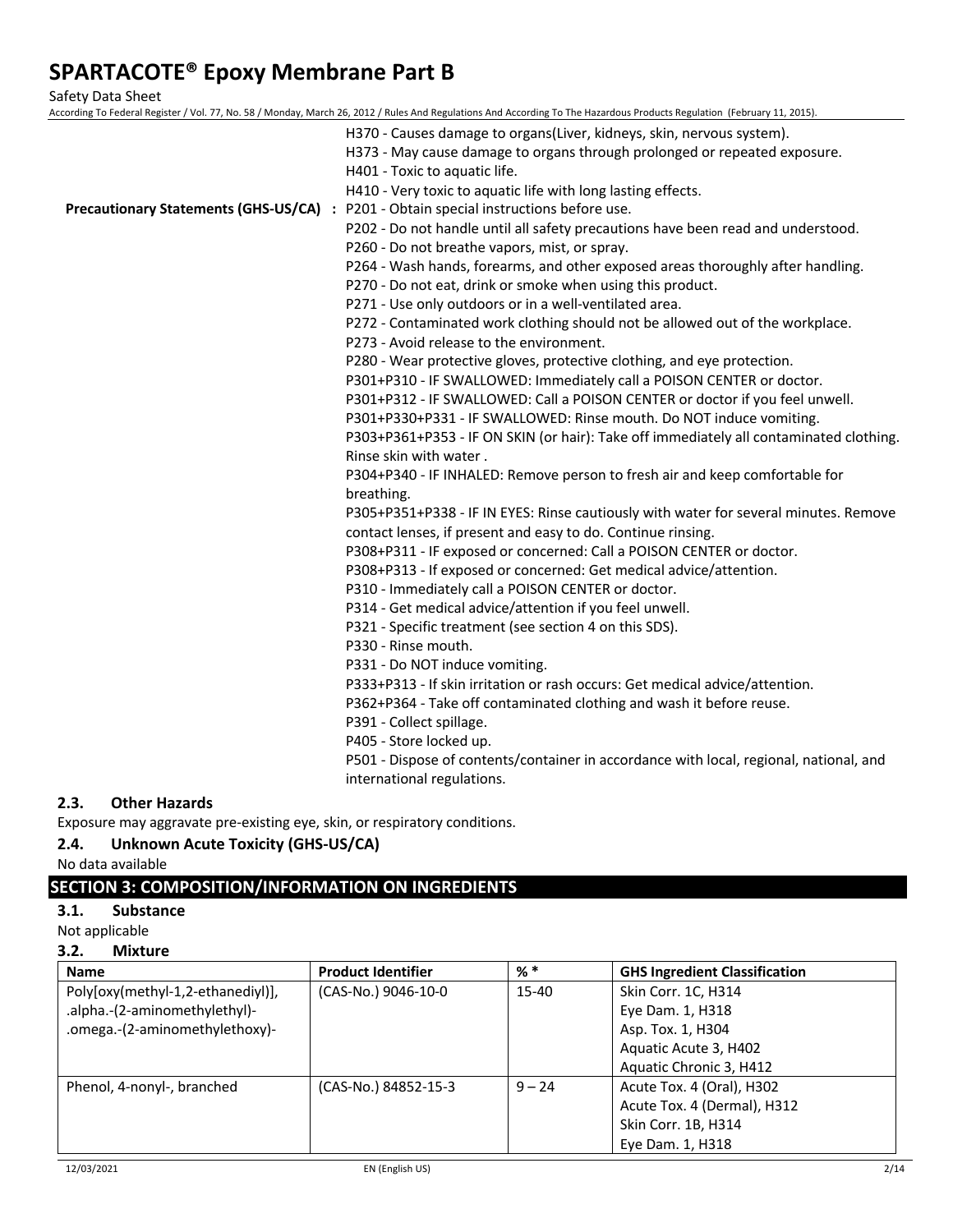Safety Data Sheet

| According To Federal Register / Vol. 77, No. 58 / Monday, March 26, 2012 / Rules And Regulations And According To The Hazardous Products Regulation (February 11, 2015). |
|--------------------------------------------------------------------------------------------------------------------------------------------------------------------------|
| H370 - Causes damage to organs(Liver, kidneys, skin, nervous system).                                                                                                    |
| H373 - May cause damage to organs through prolonged or repeated exposure.                                                                                                |
| H401 - Toxic to aquatic life.                                                                                                                                            |
| H410 - Very toxic to aquatic life with long lasting effects.                                                                                                             |
| Precautionary Statements (GHS-US/CA) : P201 - Obtain special instructions before use.                                                                                    |
| P202 - Do not handle until all safety precautions have been read and understood.                                                                                         |
| P260 - Do not breathe vapors, mist, or spray.                                                                                                                            |
| P264 - Wash hands, forearms, and other exposed areas thoroughly after handling.                                                                                          |
| P270 - Do not eat, drink or smoke when using this product.                                                                                                               |
| P271 - Use only outdoors or in a well-ventilated area.                                                                                                                   |
| P272 - Contaminated work clothing should not be allowed out of the workplace.                                                                                            |
| P273 - Avoid release to the environment.                                                                                                                                 |
| P280 - Wear protective gloves, protective clothing, and eye protection.                                                                                                  |
| P301+P310 - IF SWALLOWED: Immediately call a POISON CENTER or doctor.                                                                                                    |
| P301+P312 - IF SWALLOWED: Call a POISON CENTER or doctor if you feel unwell.                                                                                             |
| P301+P330+P331 - IF SWALLOWED: Rinse mouth. Do NOT induce vomiting.                                                                                                      |
| P303+P361+P353 - IF ON SKIN (or hair): Take off immediately all contaminated clothing.                                                                                   |
| Rinse skin with water.                                                                                                                                                   |
| P304+P340 - IF INHALED: Remove person to fresh air and keep comfortable for                                                                                              |
| breathing.                                                                                                                                                               |
| P305+P351+P338 - IF IN EYES: Rinse cautiously with water for several minutes. Remove                                                                                     |
| contact lenses, if present and easy to do. Continue rinsing.                                                                                                             |
| P308+P311 - IF exposed or concerned: Call a POISON CENTER or doctor.                                                                                                     |
| P308+P313 - If exposed or concerned: Get medical advice/attention.                                                                                                       |
| P310 - Immediately call a POISON CENTER or doctor.                                                                                                                       |
| P314 - Get medical advice/attention if you feel unwell.                                                                                                                  |
| P321 - Specific treatment (see section 4 on this SDS).                                                                                                                   |
| P330 - Rinse mouth.                                                                                                                                                      |
| P331 - Do NOT induce vomiting.                                                                                                                                           |
| P333+P313 - If skin irritation or rash occurs: Get medical advice/attention.                                                                                             |
| P362+P364 - Take off contaminated clothing and wash it before reuse.                                                                                                     |
| D <sub>201</sub> Collect cpillogo                                                                                                                                        |

- P391 Collect spillage. P405 - Store locked up.
- P501 Dispose of contents/container in accordance with local, regional, national, and international regulations.

### **2.3. Other Hazards**

Exposure may aggravate pre-existing eye, skin, or respiratory conditions.

### **2.4. Unknown Acute Toxicity (GHS-US/CA)**

### No data available

### **SECTION 3: COMPOSITION/INFORMATION ON INGREDIENTS**

#### **3.1. Substance**

Not applicable

#### **3.2. Mixture**

| <b>Name</b>                       | <b>Product Identifier</b> | $%$ $*$   | <b>GHS Ingredient Classification</b> |
|-----------------------------------|---------------------------|-----------|--------------------------------------|
| Poly[oxy(methyl-1,2-ethanediyl)], | (CAS-No.) 9046-10-0       | $15 - 40$ | Skin Corr. 1C, H314                  |
| .alpha.-(2-aminomethylethyl)-     |                           |           | Eye Dam. 1, H318                     |
| .omega.-(2-aminomethylethoxy)-    |                           |           | Asp. Tox. 1, H304                    |
|                                   |                           |           | Aquatic Acute 3, H402                |
|                                   |                           |           | Aquatic Chronic 3, H412              |
| Phenol, 4-nonyl-, branched        | (CAS-No.) 84852-15-3      | $9 - 24$  | Acute Tox. 4 (Oral), H302            |
|                                   |                           |           | Acute Tox. 4 (Dermal), H312          |
|                                   |                           |           | Skin Corr. 1B, H314                  |
|                                   |                           |           | Eye Dam. 1, H318                     |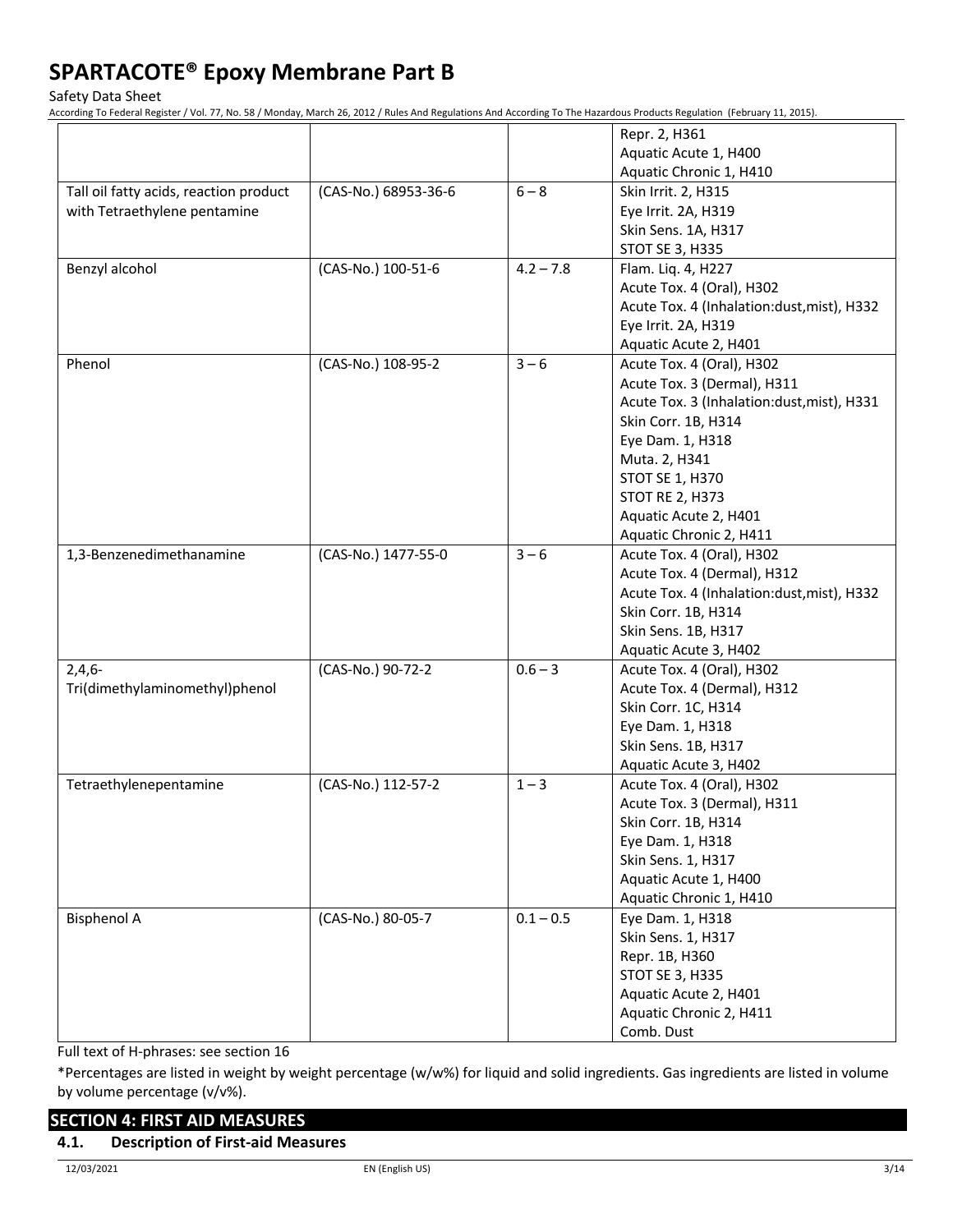Safety Data Sheet

According To Federal Register / Vol. 77, No. 58 / Monday, March 26, 2012 / Rules And Regulations And According To The Hazardous Products Regulation (February 11, 2015).

|                                        |                      |             | Repr. 2, H361                              |
|----------------------------------------|----------------------|-------------|--------------------------------------------|
|                                        |                      |             | Aquatic Acute 1, H400                      |
|                                        |                      |             | Aquatic Chronic 1, H410                    |
| Tall oil fatty acids, reaction product | (CAS-No.) 68953-36-6 | $6 - 8$     | Skin Irrit. 2, H315                        |
| with Tetraethylene pentamine           |                      |             | Eye Irrit. 2A, H319                        |
|                                        |                      |             | Skin Sens. 1A, H317                        |
|                                        |                      |             | <b>STOT SE 3, H335</b>                     |
|                                        |                      |             |                                            |
| Benzyl alcohol                         | (CAS-No.) 100-51-6   | $4.2 - 7.8$ | Flam. Liq. 4, H227                         |
|                                        |                      |             | Acute Tox. 4 (Oral), H302                  |
|                                        |                      |             | Acute Tox. 4 (Inhalation:dust, mist), H332 |
|                                        |                      |             | Eye Irrit. 2A, H319                        |
|                                        |                      |             | Aquatic Acute 2, H401                      |
| Phenol                                 | (CAS-No.) 108-95-2   | $3 - 6$     | Acute Tox. 4 (Oral), H302                  |
|                                        |                      |             | Acute Tox. 3 (Dermal), H311                |
|                                        |                      |             | Acute Tox. 3 (Inhalation:dust, mist), H331 |
|                                        |                      |             | Skin Corr. 1B, H314                        |
|                                        |                      |             | Eye Dam. 1, H318                           |
|                                        |                      |             | Muta. 2, H341                              |
|                                        |                      |             | STOT SE 1, H370                            |
|                                        |                      |             | <b>STOT RE 2, H373</b>                     |
|                                        |                      |             | Aquatic Acute 2, H401                      |
|                                        |                      |             | Aquatic Chronic 2, H411                    |
| 1,3-Benzenedimethanamine               |                      | $3 - 6$     |                                            |
|                                        | (CAS-No.) 1477-55-0  |             | Acute Tox. 4 (Oral), H302                  |
|                                        |                      |             | Acute Tox. 4 (Dermal), H312                |
|                                        |                      |             | Acute Tox. 4 (Inhalation:dust, mist), H332 |
|                                        |                      |             | Skin Corr. 1B, H314                        |
|                                        |                      |             | Skin Sens. 1B, H317                        |
|                                        |                      |             | Aquatic Acute 3, H402                      |
| $2,4,6-$                               | (CAS-No.) 90-72-2    | $0.6 - 3$   | Acute Tox. 4 (Oral), H302                  |
| Tri(dimethylaminomethyl)phenol         |                      |             | Acute Tox. 4 (Dermal), H312                |
|                                        |                      |             | Skin Corr. 1C, H314                        |
|                                        |                      |             | Eye Dam. 1, H318                           |
|                                        |                      |             | Skin Sens. 1B, H317                        |
|                                        |                      |             | Aquatic Acute 3, H402                      |
| Tetraethylenepentamine                 | (CAS-No.) 112-57-2   | $1 - 3$     | Acute Tox. 4 (Oral), H302                  |
|                                        |                      |             | Acute Tox. 3 (Dermal), H311                |
|                                        |                      |             | Skin Corr. 1B, H314                        |
|                                        |                      |             | Eye Dam. 1, H318                           |
|                                        |                      |             | Skin Sens. 1, H317                         |
|                                        |                      |             | Aquatic Acute 1, H400                      |
|                                        |                      |             |                                            |
|                                        |                      |             | Aquatic Chronic 1, H410                    |
| <b>Bisphenol A</b>                     | (CAS-No.) 80-05-7    | $0.1 - 0.5$ | Eye Dam. 1, H318                           |
|                                        |                      |             | Skin Sens. 1, H317                         |
|                                        |                      |             | Repr. 1B, H360                             |
|                                        |                      |             | STOT SE 3, H335                            |
|                                        |                      |             | Aquatic Acute 2, H401                      |
|                                        |                      |             | Aquatic Chronic 2, H411                    |
|                                        |                      |             | Comb. Dust                                 |

Full text of H-phrases: see section 16

\*Percentages are listed in weight by weight percentage (w/w%) for liquid and solid ingredients. Gas ingredients are listed in volume by volume percentage (v/v%).

#### **SECTION 4: FIRST AID MEASURES**

#### **4.1. Description of First-aid Measures**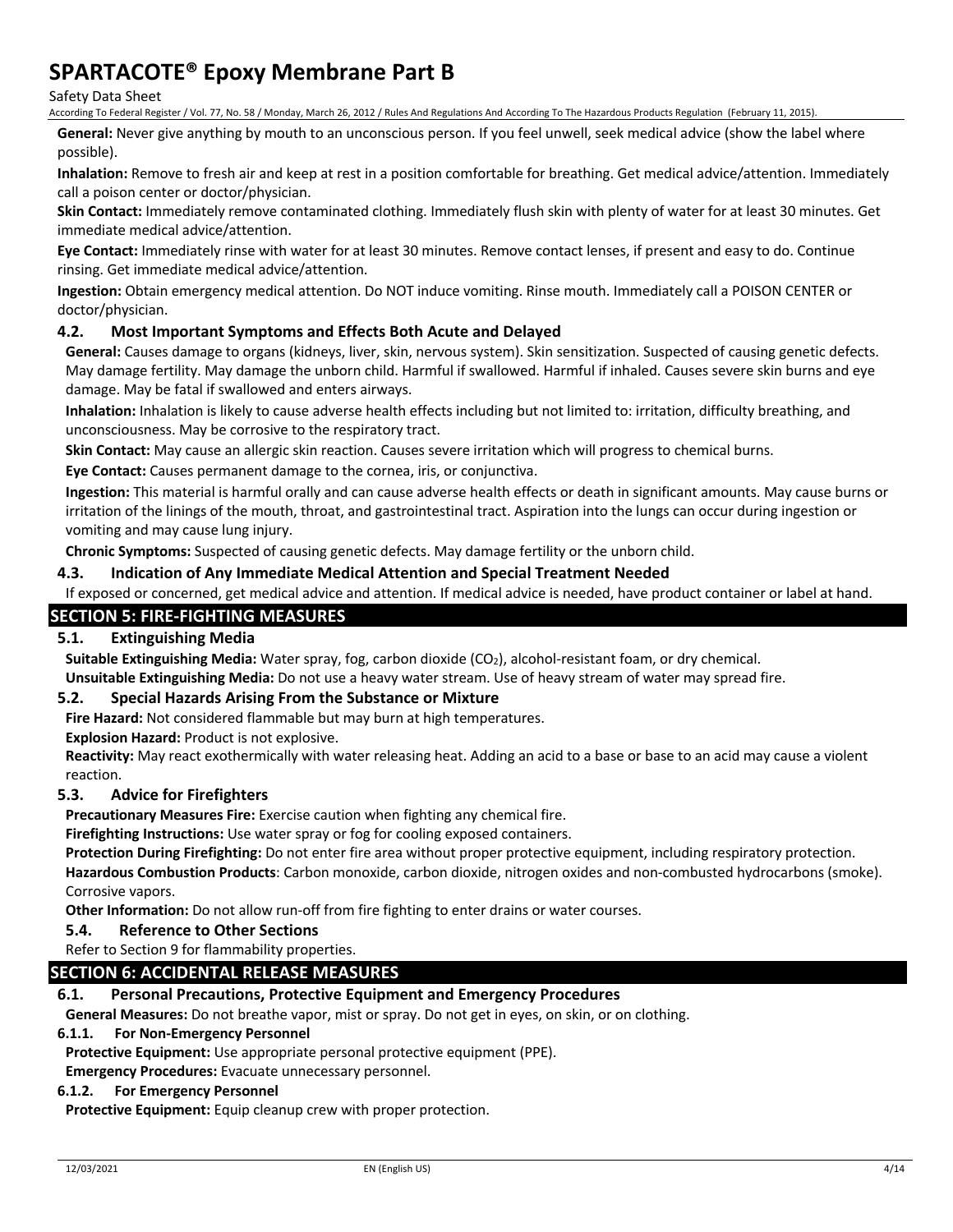#### Safety Data Sheet

According To Federal Register / Vol. 77, No. 58 / Monday, March 26, 2012 / Rules And Regulations And According To The Hazardous Products Regulation (February 11, 2015).

**General:** Never give anything by mouth to an unconscious person. If you feel unwell, seek medical advice (show the label where possible).

**Inhalation:** Remove to fresh air and keep at rest in a position comfortable for breathing. Get medical advice/attention. Immediately call a poison center or doctor/physician.

**Skin Contact:** Immediately remove contaminated clothing. Immediately flush skin with plenty of water for at least 30 minutes. Get immediate medical advice/attention.

**Eye Contact:** Immediately rinse with water for at least 30 minutes. Remove contact lenses, if present and easy to do. Continue rinsing. Get immediate medical advice/attention.

**Ingestion:** Obtain emergency medical attention. Do NOT induce vomiting. Rinse mouth. Immediately call a POISON CENTER or doctor/physician.

#### **4.2. Most Important Symptoms and Effects Both Acute and Delayed**

**General:** Causes damage to organs (kidneys, liver, skin, nervous system). Skin sensitization. Suspected of causing genetic defects. May damage fertility. May damage the unborn child. Harmful if swallowed. Harmful if inhaled. Causes severe skin burns and eye damage. May be fatal if swallowed and enters airways.

**Inhalation:** Inhalation is likely to cause adverse health effects including but not limited to: irritation, difficulty breathing, and unconsciousness. May be corrosive to the respiratory tract.

**Skin Contact:** May cause an allergic skin reaction. Causes severe irritation which will progress to chemical burns.

**Eye Contact:** Causes permanent damage to the cornea, iris, or conjunctiva.

**Ingestion:** This material is harmful orally and can cause adverse health effects or death in significant amounts. May cause burns or irritation of the linings of the mouth, throat, and gastrointestinal tract. Aspiration into the lungs can occur during ingestion or vomiting and may cause lung injury.

**Chronic Symptoms:** Suspected of causing genetic defects. May damage fertility or the unborn child.

#### **4.3. Indication of Any Immediate Medical Attention and Special Treatment Needed**

If exposed or concerned, get medical advice and attention. If medical advice is needed, have product container or label at hand.

### **SECTION 5: FIRE-FIGHTING MEASURES**

#### **5.1. Extinguishing Media**

Suitable Extinguishing Media: Water spray, fog, carbon dioxide (CO<sub>2</sub>), alcohol-resistant foam, or dry chemical.

**Unsuitable Extinguishing Media:** Do not use a heavy water stream. Use of heavy stream of water may spread fire.

#### **5.2. Special Hazards Arising From the Substance or Mixture**

**Fire Hazard:** Not considered flammable but may burn at high temperatures.

**Explosion Hazard:** Product is not explosive.

**Reactivity:** May react exothermically with water releasing heat. Adding an acid to a base or base to an acid may cause a violent reaction.

#### **5.3. Advice for Firefighters**

**Precautionary Measures Fire:** Exercise caution when fighting any chemical fire.

**Firefighting Instructions:** Use water spray or fog for cooling exposed containers.

**Protection During Firefighting:** Do not enter fire area without proper protective equipment, including respiratory protection.

**Hazardous Combustion Products**: Carbon monoxide, carbon dioxide, nitrogen oxides and non-combusted hydrocarbons (smoke). Corrosive vapors.

**Other Information:** Do not allow run-off from fire fighting to enter drains or water courses.

#### **5.4. Reference to Other Sections**

Refer to Section 9 for flammability properties.

#### **SECTION 6: ACCIDENTAL RELEASE MEASURES**

#### **6.1. Personal Precautions, Protective Equipment and Emergency Procedures**

**General Measures:** Do not breathe vapor, mist or spray. Do not get in eyes, on skin, or on clothing.

#### **6.1.1. For Non-Emergency Personnel**

**Protective Equipment:** Use appropriate personal protective equipment (PPE).

**Emergency Procedures:** Evacuate unnecessary personnel.

#### **6.1.2. For Emergency Personnel**

**Protective Equipment:** Equip cleanup crew with proper protection.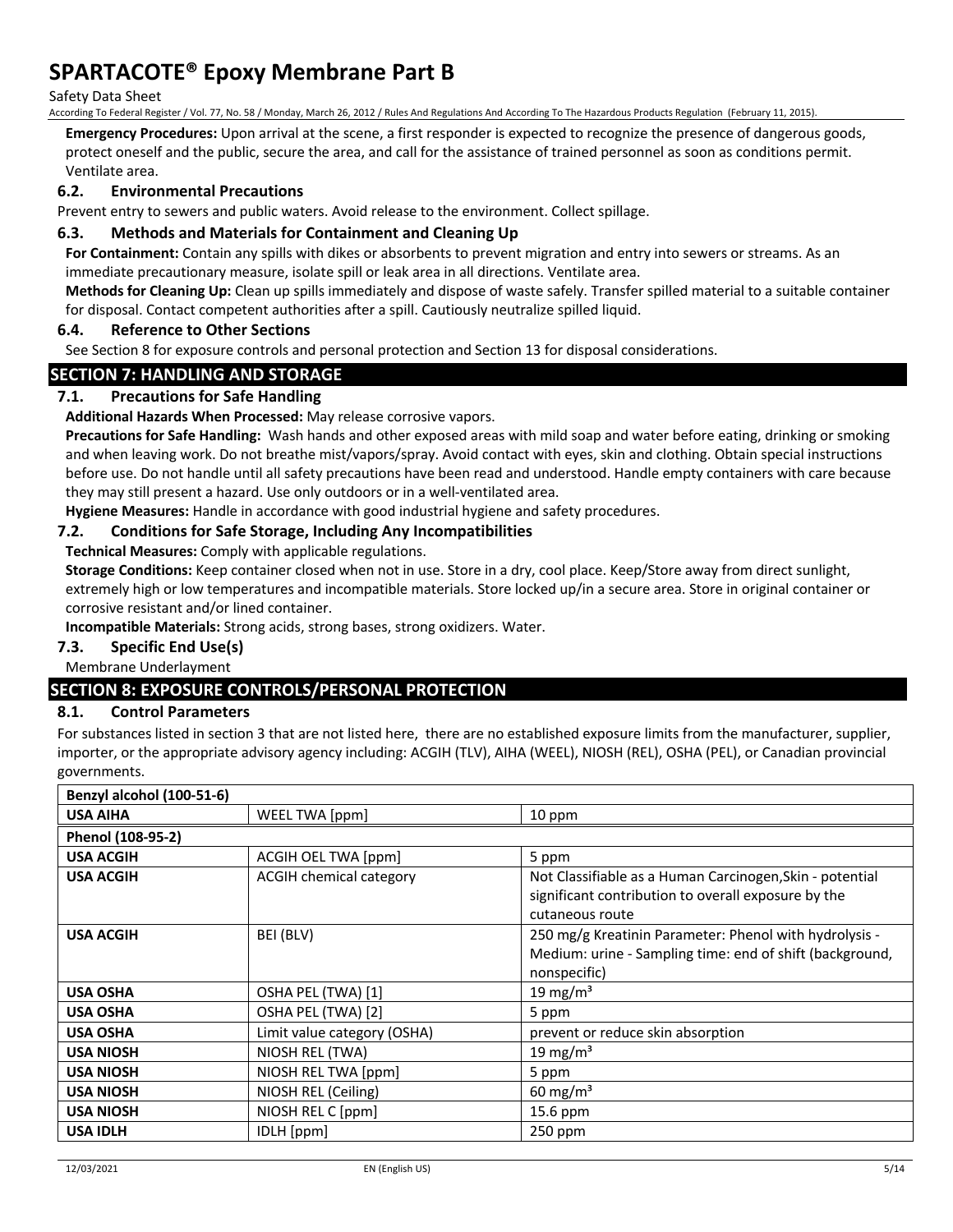#### Safety Data Sheet

According To Federal Register / Vol. 77, No. 58 / Monday, March 26, 2012 / Rules And Regulations And According To The Hazardous Products Regulation (February 11, 2015).

**Emergency Procedures:** Upon arrival at the scene, a first responder is expected to recognize the presence of dangerous goods, protect oneself and the public, secure the area, and call for the assistance of trained personnel as soon as conditions permit. Ventilate area.

#### **6.2. Environmental Precautions**

Prevent entry to sewers and public waters. Avoid release to the environment. Collect spillage.

#### **6.3. Methods and Materials for Containment and Cleaning Up**

**For Containment:** Contain any spills with dikes or absorbents to prevent migration and entry into sewers or streams. As an immediate precautionary measure, isolate spill or leak area in all directions. Ventilate area.

**Methods for Cleaning Up:** Clean up spills immediately and dispose of waste safely. Transfer spilled material to a suitable container for disposal. Contact competent authorities after a spill. Cautiously neutralize spilled liquid.

#### **6.4. Reference to Other Sections**

See Section 8 for exposure controls and personal protection and Section 13 for disposal considerations.

#### **SECTION 7: HANDLING AND STORAGE**

#### **7.1. Precautions for Safe Handling**

**Additional Hazards When Processed:** May release corrosive vapors.

**Precautions for Safe Handling:** Wash hands and other exposed areas with mild soap and water before eating, drinking or smoking and when leaving work. Do not breathe mist/vapors/spray. Avoid contact with eyes, skin and clothing. Obtain special instructions before use. Do not handle until all safety precautions have been read and understood. Handle empty containers with care because they may still present a hazard. Use only outdoors or in a well-ventilated area.

**Hygiene Measures:** Handle in accordance with good industrial hygiene and safety procedures.

#### **7.2. Conditions for Safe Storage, Including Any Incompatibilities**

**Technical Measures:** Comply with applicable regulations.

**Storage Conditions:** Keep container closed when not in use. Store in a dry, cool place. Keep/Store away from direct sunlight, extremely high or low temperatures and incompatible materials. Store locked up/in a secure area. Store in original container or corrosive resistant and/or lined container.

**Incompatible Materials:** Strong acids, strong bases, strong oxidizers. Water.

#### **7.3. Specific End Use(s)**

Membrane Underlayment

### **SECTION 8: EXPOSURE CONTROLS/PERSONAL PROTECTION**

### **8.1. Control Parameters**

For substances listed in section 3 that are not listed here, there are no established exposure limits from the manufacturer, supplier, importer, or the appropriate advisory agency including: ACGIH (TLV), AIHA (WEEL), NIOSH (REL), OSHA (PEL), or Canadian provincial governments.

| Benzyl alcohol (100-51-6) |                                |                                                          |
|---------------------------|--------------------------------|----------------------------------------------------------|
| <b>USA AIHA</b>           | WEEL TWA [ppm]                 | 10 ppm                                                   |
| Phenol (108-95-2)         |                                |                                                          |
| <b>USA ACGIH</b>          | ACGIH OEL TWA [ppm]            | 5 ppm                                                    |
| <b>USA ACGIH</b>          | <b>ACGIH chemical category</b> | Not Classifiable as a Human Carcinogen, Skin - potential |
|                           |                                | significant contribution to overall exposure by the      |
|                           |                                | cutaneous route                                          |
| <b>USA ACGIH</b>          | BEI (BLV)                      | 250 mg/g Kreatinin Parameter: Phenol with hydrolysis -   |
|                           |                                | Medium: urine - Sampling time: end of shift (background, |
|                           |                                | nonspecific)                                             |
| <b>USA OSHA</b>           | OSHA PEL (TWA) [1]             | 19 mg/m <sup>3</sup>                                     |
| <b>USA OSHA</b>           | OSHA PEL (TWA) [2]             | 5 ppm                                                    |
| <b>USA OSHA</b>           | Limit value category (OSHA)    | prevent or reduce skin absorption                        |
| <b>USA NIOSH</b>          | NIOSH REL (TWA)                | 19 mg/m <sup>3</sup>                                     |
| <b>USA NIOSH</b>          | NIOSH REL TWA [ppm]            | 5 ppm                                                    |
| <b>USA NIOSH</b>          | NIOSH REL (Ceiling)            | $60 \text{ mg/m}^3$                                      |
| <b>USA NIOSH</b>          | NIOSH REL C [ppm]              | 15.6 ppm                                                 |
| <b>USA IDLH</b>           | IDLH [ppm]                     | 250 ppm                                                  |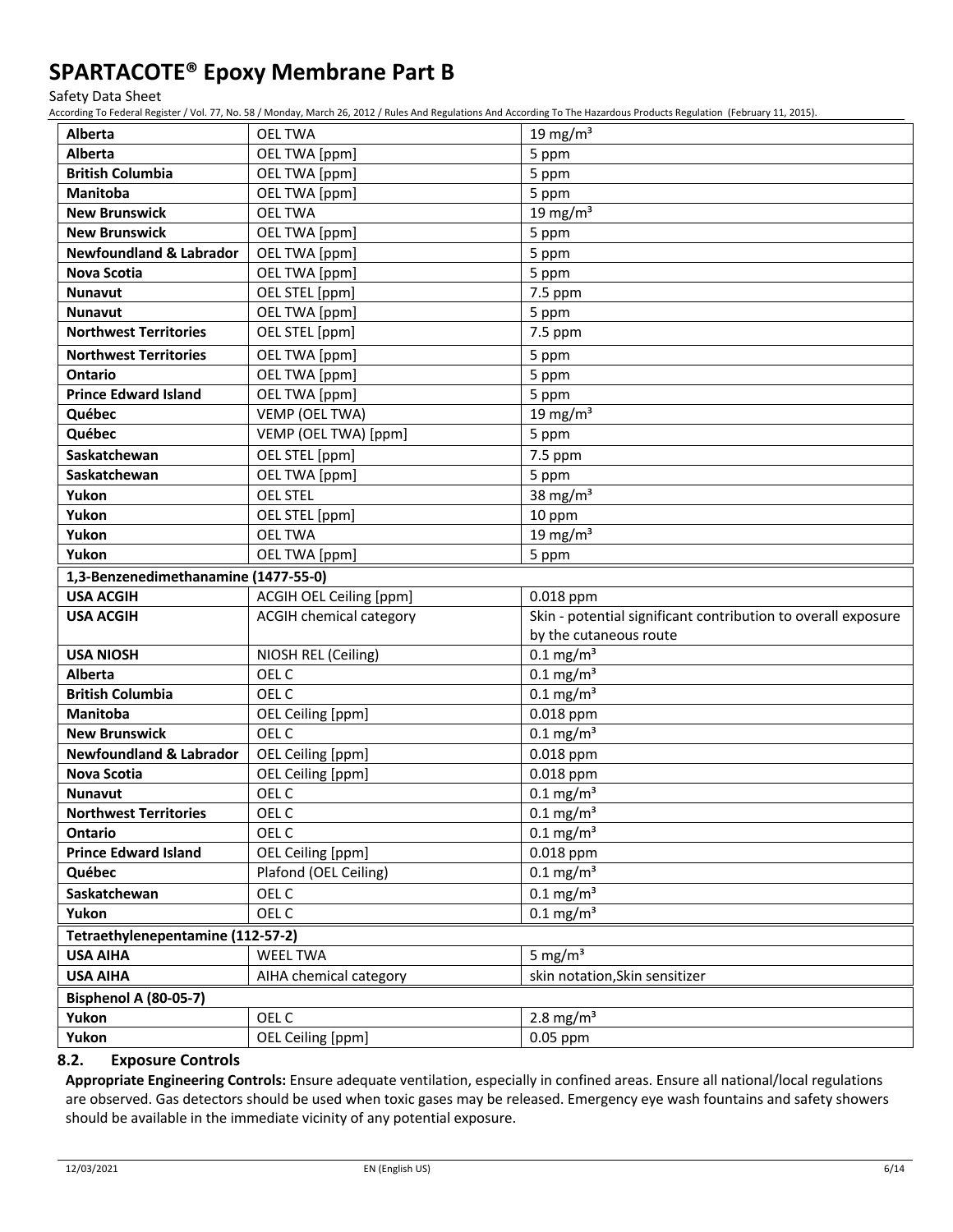#### Safety Data Sheet

According To Federal Register / Vol. 77, No. 58 / Monday, March 26, 2012 / Rules And Regulations And According To The Hazardous Products Regulation (February 11, 2015).

| <b>Alberta</b>                       | <b>OEL TWA</b>                 | 19 mg/m $3$                                                   |
|--------------------------------------|--------------------------------|---------------------------------------------------------------|
| <b>Alberta</b>                       | OEL TWA [ppm]                  | 5 ppm                                                         |
| <b>British Columbia</b>              | OEL TWA [ppm]                  | 5 ppm                                                         |
| <b>Manitoba</b>                      | OEL TWA [ppm]                  | 5 ppm                                                         |
| <b>New Brunswick</b>                 | <b>OEL TWA</b>                 | 19 mg/m $3$                                                   |
| <b>New Brunswick</b>                 | OEL TWA [ppm]                  | 5 ppm                                                         |
| <b>Newfoundland &amp; Labrador</b>   | OEL TWA [ppm]                  | 5 ppm                                                         |
| <b>Nova Scotia</b>                   | OEL TWA [ppm]                  | 5 ppm                                                         |
| <b>Nunavut</b>                       | OEL STEL [ppm]                 | 7.5 ppm                                                       |
| <b>Nunavut</b>                       | OEL TWA [ppm]                  | 5 ppm                                                         |
| <b>Northwest Territories</b>         | OEL STEL [ppm]                 | 7.5 ppm                                                       |
| <b>Northwest Territories</b>         | OEL TWA [ppm]                  | 5 ppm                                                         |
| Ontario                              | OEL TWA [ppm]                  | 5 ppm                                                         |
| <b>Prince Edward Island</b>          | OEL TWA [ppm]                  | 5 ppm                                                         |
| Québec                               | VEMP (OEL TWA)                 | 19 mg/ $m3$                                                   |
| Québec                               | VEMP (OEL TWA) [ppm]           | 5 ppm                                                         |
| Saskatchewan                         | OEL STEL [ppm]                 | 7.5 ppm                                                       |
| Saskatchewan                         | OEL TWA [ppm]                  | 5 ppm                                                         |
| Yukon                                | <b>OEL STEL</b>                | 38 mg/m $3$                                                   |
| Yukon                                | OEL STEL [ppm]                 | 10 ppm                                                        |
| Yukon                                | <b>OEL TWA</b>                 | 19 mg/m $3$                                                   |
| Yukon                                | OEL TWA [ppm]                  | 5 ppm                                                         |
| 1,3-Benzenedimethanamine (1477-55-0) |                                |                                                               |
|                                      |                                |                                                               |
| <b>USA ACGIH</b>                     |                                | 0.018 ppm                                                     |
| <b>USA ACGIH</b>                     | ACGIH OEL Ceiling [ppm]        | Skin - potential significant contribution to overall exposure |
|                                      | <b>ACGIH chemical category</b> | by the cutaneous route                                        |
| <b>USA NIOSH</b>                     | NIOSH REL (Ceiling)            | $0.1$ mg/m <sup>3</sup>                                       |
| Alberta                              | OEL C                          | $0.1 \text{ mg/m}^3$                                          |
| <b>British Columbia</b>              | OEL C                          | $0.1 \text{ mg/m}^3$                                          |
| <b>Manitoba</b>                      | OEL Ceiling [ppm]              | 0.018 ppm                                                     |
| <b>New Brunswick</b>                 | OEL C                          | $0.1$ mg/m <sup>3</sup>                                       |
| <b>Newfoundland &amp; Labrador</b>   | OEL Ceiling [ppm]              | 0.018 ppm                                                     |
| <b>Nova Scotia</b>                   | OEL Ceiling [ppm]              | 0.018 ppm                                                     |
| <b>Nunavut</b>                       | OEL C                          | $0.1 \text{ mg/m}^3$                                          |
| <b>Northwest Territories</b>         | OEL C                          | $0.1 \,\mathrm{mg/m^3}$                                       |
| Ontario                              | OEL C                          | $0.1 \,\mathrm{mg/m^3}$                                       |
| <b>Prince Edward Island</b>          | OEL Ceiling [ppm]              | 0.018 ppm                                                     |
| Québec                               | Plafond (OEL Ceiling)          | $0.1 \,\mathrm{mg/m^3}$                                       |
| Saskatchewan                         | OEL C                          | $0.1 \,\mathrm{mg/m^3}$                                       |
| Yukon                                | OEL C                          | $0.1$ mg/m <sup>3</sup>                                       |
| Tetraethylenepentamine (112-57-2)    |                                |                                                               |
| <b>USA AIHA</b>                      | <b>WEEL TWA</b>                | 5 mg/m <sup>3</sup>                                           |
| <b>USA AIHA</b>                      | AIHA chemical category         | skin notation, Skin sensitizer                                |
| Bisphenol A (80-05-7)                |                                |                                                               |
| Yukon                                | OEL C                          | 2.8 mg/m <sup>3</sup>                                         |

### **8.2. Exposure Controls**

**Appropriate Engineering Controls:** Ensure adequate ventilation, especially in confined areas. Ensure all national/local regulations are observed. Gas detectors should be used when toxic gases may be released. Emergency eye wash fountains and safety showers should be available in the immediate vicinity of any potential exposure.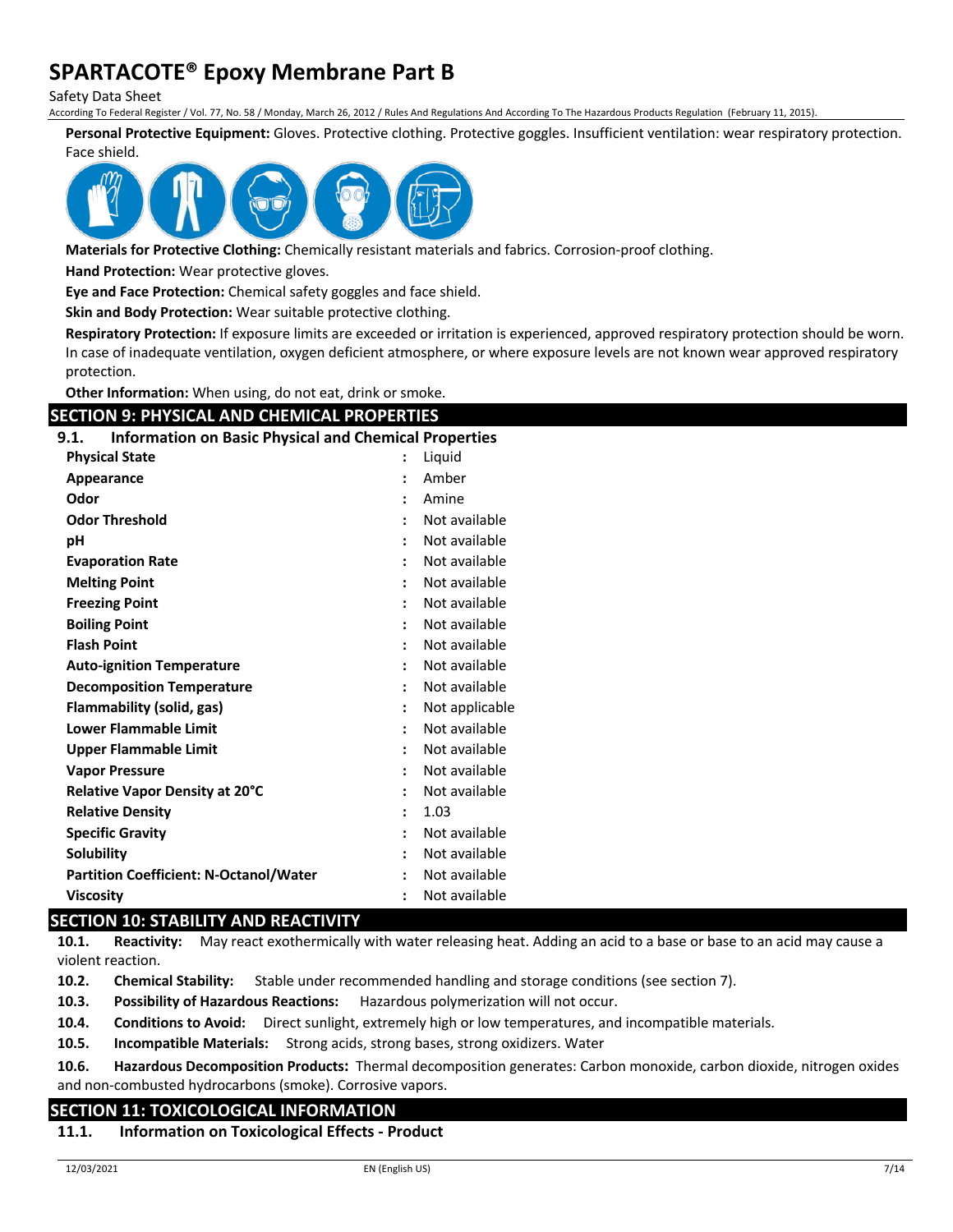Safety Data Sheet

According To Federal Register / Vol. 77, No. 58 / Monday, March 26, 2012 / Rules And Regulations And According To The Hazardous Products Regulation (February 11, 2015).

**Personal Protective Equipment:** Gloves. Protective clothing. Protective goggles. Insufficient ventilation: wear respiratory protection. Face shield.



**Materials for Protective Clothing:** Chemically resistant materials and fabrics. Corrosion-proof clothing.

**Hand Protection:** Wear protective gloves.

**Eye and Face Protection:** Chemical safety goggles and face shield.

**Skin and Body Protection:** Wear suitable protective clothing.

**Respiratory Protection:** If exposure limits are exceeded or irritation is experienced, approved respiratory protection should be worn. In case of inadequate ventilation, oxygen deficient atmosphere, or where exposure levels are not known wear approved respiratory protection.

**Other Information:** When using, do not eat, drink or smoke.

### **SECTION 9: PHYSICAL AND CHEMICAL PROPERTIES**

#### **9.1. Information on Basic Physical and Chemical Properties**

| <b>Physical State</b>                         |                | Liquid         |
|-----------------------------------------------|----------------|----------------|
| Appearance                                    | $\ddot{\cdot}$ | Amber          |
| Odor                                          |                | Amine          |
| <b>Odor Threshold</b>                         | $\ddot{\cdot}$ | Not available  |
| рH                                            |                | Not available  |
| <b>Evaporation Rate</b>                       |                | Not available  |
| <b>Melting Point</b>                          | $\ddot{\cdot}$ | Not available  |
| <b>Freezing Point</b>                         |                | Not available  |
| <b>Boiling Point</b>                          |                | Not available  |
| <b>Flash Point</b>                            | $\ddot{\cdot}$ | Not available  |
| <b>Auto-ignition Temperature</b>              |                | Not available  |
| <b>Decomposition Temperature</b>              |                | Not available  |
| Flammability (solid, gas)                     | $\ddot{\cdot}$ | Not applicable |
| <b>Lower Flammable Limit</b>                  |                | Not available  |
| <b>Upper Flammable Limit</b>                  |                | Not available  |
| <b>Vapor Pressure</b>                         | $\ddot{\cdot}$ | Not available  |
| <b>Relative Vapor Density at 20°C</b>         |                | Not available  |
| <b>Relative Density</b>                       | $\ddot{\cdot}$ | 1.03           |
| <b>Specific Gravity</b>                       |                | Not available  |
| <b>Solubility</b>                             |                | Not available  |
| <b>Partition Coefficient: N-Octanol/Water</b> | $\ddot{\cdot}$ | Not available  |
| <b>Viscosity</b>                              |                | Not available  |
|                                               |                |                |

#### **SECTION 10: STABILITY AND REACTIVITY**

**10.1. Reactivity:** May react exothermically with water releasing heat. Adding an acid to a base or base to an acid may cause a violent reaction.

**10.2. Chemical Stability:** Stable under recommended handling and storage conditions (see section 7).

- **10.3. Possibility of Hazardous Reactions:** Hazardous polymerization will not occur.
- **10.4. Conditions to Avoid:** Direct sunlight, extremely high or low temperatures, and incompatible materials.
- **10.5. Incompatible Materials:** Strong acids, strong bases, strong oxidizers. Water

**10.6. Hazardous Decomposition Products:** Thermal decomposition generates: Carbon monoxide, carbon dioxide, nitrogen oxides and non-combusted hydrocarbons (smoke). Corrosive vapors.

#### **SECTION 11: TOXICOLOGICAL INFORMATION**

#### **11.1. Information on Toxicological Effects - Product**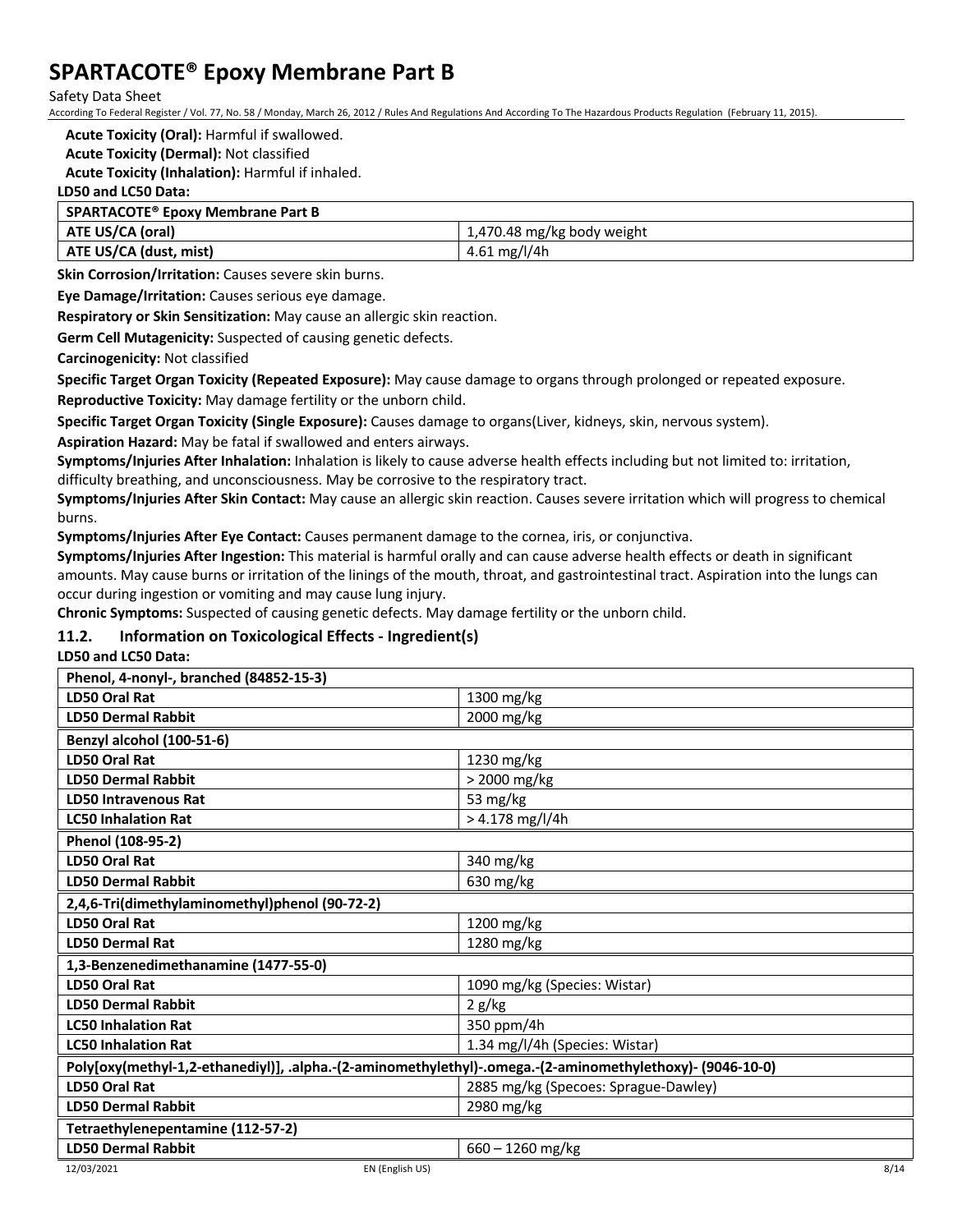Safety Data Sheet

According To Federal Register / Vol. 77, No. 58 / Monday, March 26, 2012 / Rules And Regulations And According To The Hazardous Products Regulation (February 11, 2015).

**Acute Toxicity (Oral):** Harmful if swallowed.

### **Acute Toxicity (Dermal):** Not classified

**Acute Toxicity (Inhalation):** Harmful if inhaled.

#### **LD50 and LC50 Data:**

| SPARTACOTE <sup>®</sup> Epoxy Membrane Part B |                            |
|-----------------------------------------------|----------------------------|
| ATE US/CA (oral)                              | 1,470.48 mg/kg body weight |
| ATE US/CA (dust, mist)                        | 4.61 mg/l/4h               |

**Skin Corrosion/Irritation:** Causes severe skin burns.

**Eye Damage/Irritation:** Causes serious eye damage.

**Respiratory or Skin Sensitization:** May cause an allergic skin reaction.

**Germ Cell Mutagenicity:** Suspected of causing genetic defects.

**Carcinogenicity:** Not classified

**Specific Target Organ Toxicity (Repeated Exposure):** May cause damage to organs through prolonged or repeated exposure.

**Reproductive Toxicity:** May damage fertility or the unborn child.

**Specific Target Organ Toxicity (Single Exposure):** Causes damage to organs(Liver, kidneys, skin, nervous system).

**Aspiration Hazard:** May be fatal if swallowed and enters airways.

**Symptoms/Injuries After Inhalation:** Inhalation is likely to cause adverse health effects including but not limited to: irritation, difficulty breathing, and unconsciousness. May be corrosive to the respiratory tract.

**Symptoms/Injuries After Skin Contact:** May cause an allergic skin reaction. Causes severe irritation which will progress to chemical burns.

**Symptoms/Injuries After Eye Contact:** Causes permanent damage to the cornea, iris, or conjunctiva.

**Symptoms/Injuries After Ingestion:** This material is harmful orally and can cause adverse health effects or death in significant amounts. May cause burns or irritation of the linings of the mouth, throat, and gastrointestinal tract. Aspiration into the lungs can occur during ingestion or vomiting and may cause lung injury.

**Chronic Symptoms:** Suspected of causing genetic defects. May damage fertility or the unborn child.

#### **11.2. Information on Toxicological Effects - Ingredient(s)**

**LD50 and LC50 Data:**

| Phenol, 4-nonyl-, branched (84852-15-3)                                                                   |                                      |  |
|-----------------------------------------------------------------------------------------------------------|--------------------------------------|--|
| <b>LD50 Oral Rat</b>                                                                                      | 1300 mg/kg                           |  |
| <b>LD50 Dermal Rabbit</b>                                                                                 | 2000 mg/kg                           |  |
| Benzyl alcohol (100-51-6)                                                                                 |                                      |  |
| <b>LD50 Oral Rat</b>                                                                                      | 1230 mg/kg                           |  |
| <b>LD50 Dermal Rabbit</b>                                                                                 | > 2000 mg/kg                         |  |
| <b>LD50 Intravenous Rat</b>                                                                               | 53 mg/kg                             |  |
| <b>LC50 Inhalation Rat</b>                                                                                | $> 4.178$ mg/l/4h                    |  |
| Phenol (108-95-2)                                                                                         |                                      |  |
| LD50 Oral Rat                                                                                             | 340 mg/kg                            |  |
| <b>LD50 Dermal Rabbit</b>                                                                                 | 630 mg/kg                            |  |
| 2,4,6-Tri(dimethylaminomethyl)phenol (90-72-2)                                                            |                                      |  |
| <b>LD50 Oral Rat</b>                                                                                      | 1200 mg/kg                           |  |
| <b>LD50 Dermal Rat</b>                                                                                    | 1280 mg/kg                           |  |
| 1,3-Benzenedimethanamine (1477-55-0)                                                                      |                                      |  |
| LD50 Oral Rat                                                                                             | 1090 mg/kg (Species: Wistar)         |  |
| <b>LD50 Dermal Rabbit</b>                                                                                 | 2 g/kg                               |  |
| <b>LC50 Inhalation Rat</b>                                                                                | 350 ppm/4h                           |  |
| <b>LC50 Inhalation Rat</b>                                                                                | 1.34 mg/l/4h (Species: Wistar)       |  |
| Poly[oxy(methyl-1,2-ethanediyl)], .alpha.-(2-aminomethylethyl)-.omega.-(2-aminomethylethoxy)- (9046-10-0) |                                      |  |
| <b>LD50 Oral Rat</b>                                                                                      | 2885 mg/kg (Specoes: Sprague-Dawley) |  |
| <b>LD50 Dermal Rabbit</b>                                                                                 | 2980 mg/kg                           |  |
| Tetraethylenepentamine (112-57-2)                                                                         |                                      |  |
| <b>LD50 Dermal Rabbit</b>                                                                                 | $660 - 1260$ mg/kg                   |  |
| EN (English US)<br>12/03/2021                                                                             | 8/14                                 |  |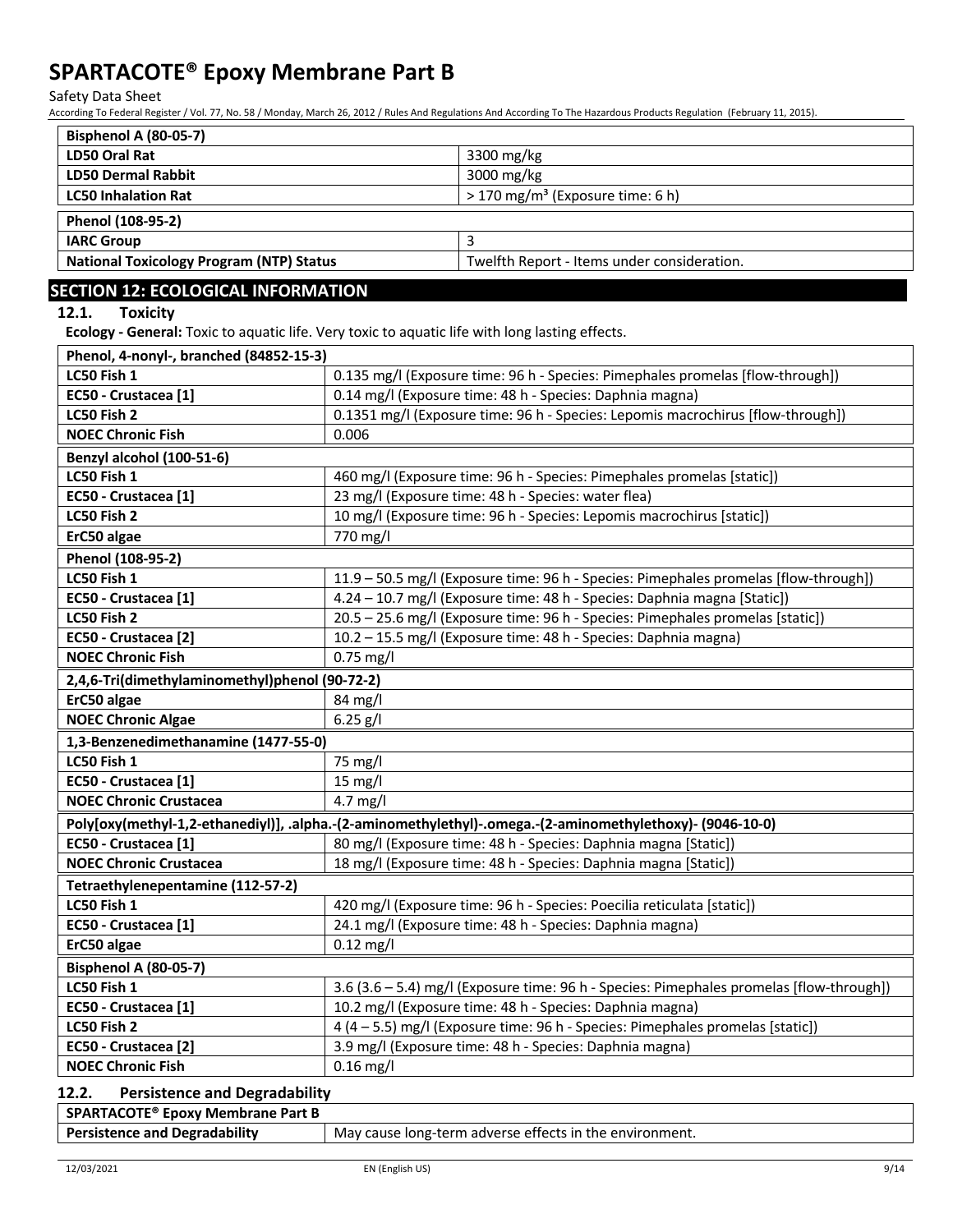Safety Data Sheet

According To Federal Register / Vol. 77, No. 58 / Monday, March 26, 2012 / Rules And Regulations And According To The Hazardous Products Regulation (February 11, 2015).

| <b>Bisphenol A (80-05-7)</b>                    |                                                |
|-------------------------------------------------|------------------------------------------------|
| LD50 Oral Rat                                   | 3300 mg/kg                                     |
| <b>LD50 Dermal Rabbit</b>                       | 3000 mg/kg                                     |
| <b>LC50 Inhalation Rat</b>                      | $>$ 170 mg/m <sup>3</sup> (Exposure time: 6 h) |
| Phenol (108-95-2)                               |                                                |
| <b>IARC Group</b>                               | 3                                              |
| <b>National Toxicology Program (NTP) Status</b> | Twelfth Report - Items under consideration.    |

### **SECTION 12: ECOLOGICAL INFORMATION**

#### **12.1. Toxicity**

**Ecology - General:** Toxic to aquatic life. Very toxic to aquatic life with long lasting effects.

| Phenol, 4-nonyl-, branched (84852-15-3)                      |                                                                                                           |
|--------------------------------------------------------------|-----------------------------------------------------------------------------------------------------------|
| LC50 Fish 1                                                  | 0.135 mg/l (Exposure time: 96 h - Species: Pimephales promelas [flow-through])                            |
| EC50 - Crustacea [1]                                         | 0.14 mg/l (Exposure time: 48 h - Species: Daphnia magna)                                                  |
| LC50 Fish 2                                                  | 0.1351 mg/l (Exposure time: 96 h - Species: Lepomis macrochirus [flow-through])                           |
| <b>NOEC Chronic Fish</b>                                     | 0.006                                                                                                     |
| Benzyl alcohol (100-51-6)                                    |                                                                                                           |
| LC50 Fish 1                                                  | 460 mg/l (Exposure time: 96 h - Species: Pimephales promelas [static])                                    |
| EC50 - Crustacea [1]                                         | 23 mg/l (Exposure time: 48 h - Species: water flea)                                                       |
| LC50 Fish 2                                                  | 10 mg/l (Exposure time: 96 h - Species: Lepomis macrochirus [static])                                     |
| ErC50 algae                                                  | 770 mg/l                                                                                                  |
| Phenol (108-95-2)                                            |                                                                                                           |
| LC50 Fish 1                                                  | 11.9 - 50.5 mg/l (Exposure time: 96 h - Species: Pimephales promelas [flow-through])                      |
| EC50 - Crustacea [1]                                         | 4.24 - 10.7 mg/l (Exposure time: 48 h - Species: Daphnia magna [Static])                                  |
| LC50 Fish 2                                                  | 20.5 - 25.6 mg/l (Exposure time: 96 h - Species: Pimephales promelas [static])                            |
| EC50 - Crustacea [2]                                         | 10.2 - 15.5 mg/l (Exposure time: 48 h - Species: Daphnia magna)                                           |
| <b>NOEC Chronic Fish</b>                                     | $0.75$ mg/l                                                                                               |
| 2,4,6-Tri(dimethylaminomethyl)phenol (90-72-2)               |                                                                                                           |
| ErC50 algae                                                  | 84 mg/l                                                                                                   |
| <b>NOEC Chronic Algae</b>                                    | $6.25$ $g/I$                                                                                              |
| 1,3-Benzenedimethanamine (1477-55-0)                         |                                                                                                           |
| LC50 Fish 1                                                  | 75 mg/l                                                                                                   |
| EC50 - Crustacea [1]                                         | 15 mg/l                                                                                                   |
| <b>NOEC Chronic Crustacea</b>                                | 4.7 mg/l                                                                                                  |
|                                                              | Poly[oxy(methyl-1,2-ethanediyl)], .alpha.-(2-aminomethylethyl)-.omega.-(2-aminomethylethoxy)- (9046-10-0) |
| EC50 - Crustacea [1]                                         | 80 mg/l (Exposure time: 48 h - Species: Daphnia magna [Static])                                           |
| <b>NOEC Chronic Crustacea</b>                                | 18 mg/l (Exposure time: 48 h - Species: Daphnia magna [Static])                                           |
| Tetraethylenepentamine (112-57-2)                            |                                                                                                           |
| LC50 Fish 1                                                  | 420 mg/l (Exposure time: 96 h - Species: Poecilia reticulata [static])                                    |
| EC50 - Crustacea [1]                                         | 24.1 mg/l (Exposure time: 48 h - Species: Daphnia magna)                                                  |
| ErC50 algae                                                  | $0.12$ mg/l                                                                                               |
| Bisphenol A (80-05-7)                                        |                                                                                                           |
| LC50 Fish 1                                                  | 3.6 (3.6 - 5.4) mg/l (Exposure time: 96 h - Species: Pimephales promelas [flow-through])                  |
| EC50 - Crustacea [1]                                         | 10.2 mg/l (Exposure time: 48 h - Species: Daphnia magna)                                                  |
| LC50 Fish 2                                                  | 4 (4 - 5.5) mg/l (Exposure time: 96 h - Species: Pimephales promelas [static])                            |
| EC50 - Crustacea [2]                                         | 3.9 mg/l (Exposure time: 48 h - Species: Daphnia magna)                                                   |
| <b>NOEC Chronic Fish</b>                                     | $0.16$ mg/l                                                                                               |
| $\sim$<br>the contractor of the contractor of the contractor |                                                                                                           |

#### **12.2. Persistence and Degradability**

| SPARTACOTE <sup>®</sup> Epoxy Membrane Part B |                                                         |
|-----------------------------------------------|---------------------------------------------------------|
| <b>Persistence and Degradability</b>          | May cause long-term adverse effects in the environment. |
|                                               |                                                         |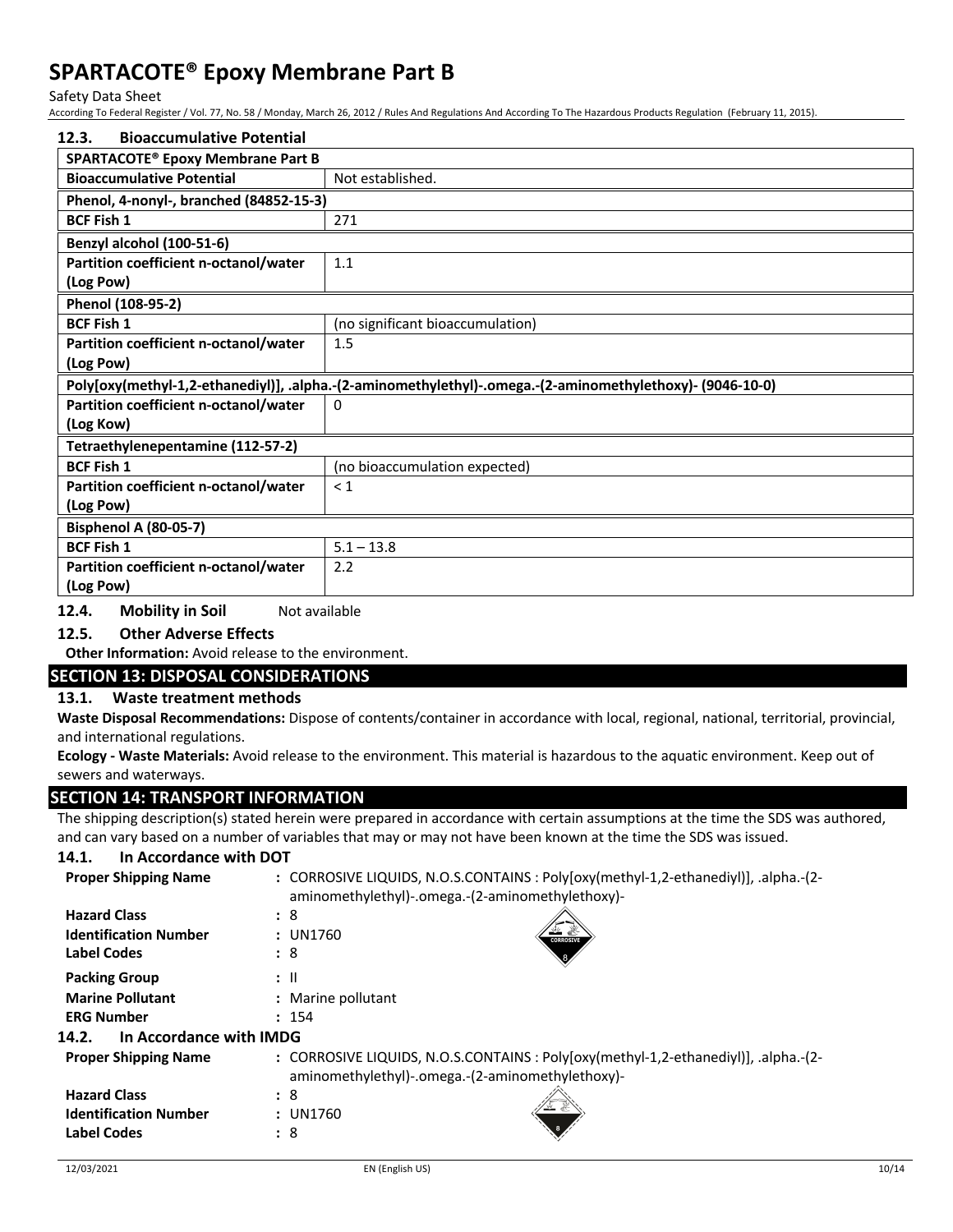#### Safety Data Sheet

According To Federal Register / Vol. 77, No. 58 / Monday, March 26, 2012 / Rules And Regulations And According To The Hazardous Products Regulation (February 11, 2015).

| 12.3.<br><b>Bioaccumulative Potential</b>                                                                 |                                  |  |  |
|-----------------------------------------------------------------------------------------------------------|----------------------------------|--|--|
| SPARTACOTE <sup>®</sup> Epoxy Membrane Part B                                                             |                                  |  |  |
| <b>Bioaccumulative Potential</b>                                                                          | Not established.                 |  |  |
| Phenol, 4-nonyl-, branched (84852-15-3)                                                                   |                                  |  |  |
| <b>BCF Fish 1</b>                                                                                         | 271                              |  |  |
| Benzyl alcohol (100-51-6)                                                                                 |                                  |  |  |
| Partition coefficient n-octanol/water                                                                     | 1.1                              |  |  |
| (Log Pow)                                                                                                 |                                  |  |  |
| Phenol (108-95-2)                                                                                         |                                  |  |  |
| <b>BCF Fish 1</b>                                                                                         | (no significant bioaccumulation) |  |  |
| Partition coefficient n-octanol/water                                                                     | 1.5                              |  |  |
| (Log Pow)                                                                                                 |                                  |  |  |
| Poly[oxy(methyl-1,2-ethanediyl)], .alpha.-(2-aminomethylethyl)-.omega.-(2-aminomethylethoxy)- (9046-10-0) |                                  |  |  |
| Partition coefficient n-octanol/water                                                                     | 0                                |  |  |
| (Log Kow)                                                                                                 |                                  |  |  |
| Tetraethylenepentamine (112-57-2)                                                                         |                                  |  |  |
| <b>BCF Fish 1</b>                                                                                         | (no bioaccumulation expected)    |  |  |
| Partition coefficient n-octanol/water                                                                     | $\leq 1$                         |  |  |
| (Log Pow)                                                                                                 |                                  |  |  |
| Bisphenol A (80-05-7)                                                                                     |                                  |  |  |
| <b>BCF Fish 1</b>                                                                                         | $5.1 - 13.8$                     |  |  |
| Partition coefficient n-octanol/water                                                                     | 2.2                              |  |  |
| (Log Pow)                                                                                                 |                                  |  |  |
|                                                                                                           | $\cdots$                         |  |  |

**12.4. Mobility in Soil** Not available

#### **12.5. Other Adverse Effects**

**Other Information:** Avoid release to the environment.

#### **SECTION 13: DISPOSAL CONSIDERATIONS**

#### **13.1. Waste treatment methods**

**Waste Disposal Recommendations:** Dispose of contents/container in accordance with local, regional, national, territorial, provincial, and international regulations.

**Ecology - Waste Materials:** Avoid release to the environment. This material is hazardous to the aquatic environment. Keep out of sewers and waterways.

#### **SECTION 14: TRANSPORT INFORMATION**

The shipping description(s) stated herein were prepared in accordance with certain assumptions at the time the SDS was authored, and can vary based on a number of variables that may or may not have been known at the time the SDS was issued.

#### **14.1. In Accordance with DOT**

| <b>Proper Shipping Name</b>      | : CORROSIVE LIQUIDS, N.O.S.CONTAINS : Poly[oxy(methyl-1,2-ethanediyl)], .alpha.-(2-<br>aminomethylethyl)-.omega.-(2-aminomethylethoxy)- |
|----------------------------------|-----------------------------------------------------------------------------------------------------------------------------------------|
| <b>Hazard Class</b>              | :8                                                                                                                                      |
| <b>Identification Number</b>     | : UN1760<br><b>CORROSIVE</b>                                                                                                            |
| <b>Label Codes</b>               | : 8                                                                                                                                     |
| <b>Packing Group</b>             | : II                                                                                                                                    |
| <b>Marine Pollutant</b>          | : Marine pollutant                                                                                                                      |
| <b>ERG Number</b>                | : 154                                                                                                                                   |
| In Accordance with IMDG<br>14.2. |                                                                                                                                         |
| <b>Proper Shipping Name</b>      | : CORROSIVE LIQUIDS, N.O.S.CONTAINS : Poly[oxy(methyl-1,2-ethanediyl)], .alpha.-(2-<br>aminomethylethyl)-.omega.-(2-aminomethylethoxy)- |
| <b>Hazard Class</b>              | : 8                                                                                                                                     |
| <b>Identification Number</b>     | : UN1760                                                                                                                                |
| <b>Label Codes</b>               | : 8                                                                                                                                     |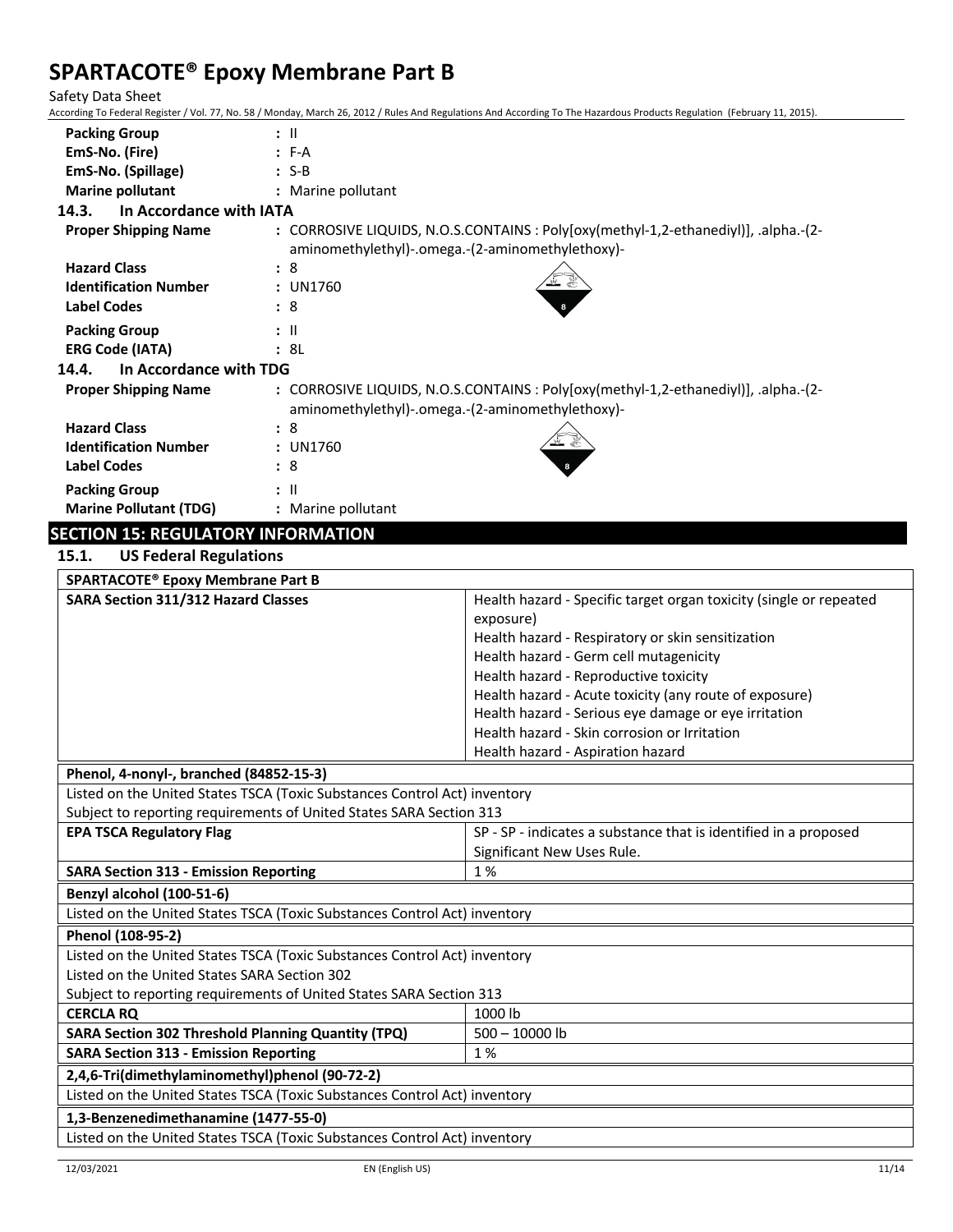Safety Data Sheet

According To Federal Register / Vol. 77, No. 58 / Monday, March 26, 2012 / Rules And Regulations And According To The Hazardous Products Regulation (February 11, 2015).

| <b>Packing Group</b>                                                | $:$ $\mathbb{I}$<br>$: F-A$                                               |                                                                                     |
|---------------------------------------------------------------------|---------------------------------------------------------------------------|-------------------------------------------------------------------------------------|
| EmS-No. (Fire)<br>EmS-No. (Spillage)                                | $: S-B$                                                                   |                                                                                     |
| <b>Marine pollutant</b>                                             | : Marine pollutant                                                        |                                                                                     |
| 14.3.<br>In Accordance with IATA                                    |                                                                           |                                                                                     |
| <b>Proper Shipping Name</b>                                         |                                                                           | : CORROSIVE LIQUIDS, N.O.S.CONTAINS : Poly[oxy(methyl-1,2-ethanediyl)], .alpha.-(2- |
|                                                                     | aminomethylethyl)-.omega.-(2-aminomethylethoxy)-                          |                                                                                     |
| <b>Hazard Class</b>                                                 | : 8                                                                       |                                                                                     |
| <b>Identification Number</b>                                        | : UN1760                                                                  |                                                                                     |
| <b>Label Codes</b>                                                  | : 8                                                                       |                                                                                     |
| <b>Packing Group</b>                                                | : II                                                                      |                                                                                     |
| <b>ERG Code (IATA)</b>                                              | : 8L                                                                      |                                                                                     |
| 14.4.<br>In Accordance with TDG                                     |                                                                           |                                                                                     |
| <b>Proper Shipping Name</b>                                         |                                                                           | : CORROSIVE LIQUIDS, N.O.S.CONTAINS : Poly[oxy(methyl-1,2-ethanediyl)], .alpha.-(2- |
|                                                                     | aminomethylethyl)-.omega.-(2-aminomethylethoxy)-                          |                                                                                     |
| <b>Hazard Class</b>                                                 | : 8                                                                       |                                                                                     |
| <b>Identification Number</b>                                        | : UN1760                                                                  |                                                                                     |
| <b>Label Codes</b>                                                  | : 8                                                                       |                                                                                     |
| <b>Packing Group</b>                                                | : II                                                                      |                                                                                     |
| <b>Marine Pollutant (TDG)</b>                                       | : Marine pollutant                                                        |                                                                                     |
| <b>SECTION 15: REGULATORY INFORMATION</b>                           |                                                                           |                                                                                     |
| 15.1.<br><b>US Federal Regulations</b>                              |                                                                           |                                                                                     |
|                                                                     |                                                                           |                                                                                     |
| SPARTACOTE® Epoxy Membrane Part B                                   |                                                                           |                                                                                     |
| <b>SARA Section 311/312 Hazard Classes</b>                          |                                                                           | Health hazard - Specific target organ toxicity (single or repeated<br>exposure)     |
|                                                                     |                                                                           | Health hazard - Respiratory or skin sensitization                                   |
|                                                                     |                                                                           | Health hazard - Germ cell mutagenicity                                              |
|                                                                     |                                                                           | Health hazard - Reproductive toxicity                                               |
|                                                                     |                                                                           | Health hazard - Acute toxicity (any route of exposure)                              |
|                                                                     |                                                                           | Health hazard - Serious eye damage or eye irritation                                |
|                                                                     |                                                                           | Health hazard - Skin corrosion or Irritation                                        |
|                                                                     |                                                                           | Health hazard - Aspiration hazard                                                   |
| Phenol, 4-nonyl-, branched (84852-15-3)                             |                                                                           |                                                                                     |
|                                                                     | Listed on the United States TSCA (Toxic Substances Control Act) inventory |                                                                                     |
|                                                                     | Subject to reporting requirements of United States SARA Section 313       |                                                                                     |
| <b>EPA TSCA Regulatory Flag</b>                                     |                                                                           | SP - SP - indicates a substance that is identified in a proposed                    |
|                                                                     |                                                                           | Significant New Uses Rule.                                                          |
| <b>SARA Section 313 - Emission Reporting</b>                        |                                                                           | 1%                                                                                  |
| Benzyl alcohol (100-51-6)                                           |                                                                           |                                                                                     |
|                                                                     | Listed on the United States TSCA (Toxic Substances Control Act) inventory |                                                                                     |
| Phenol (108-95-2)                                                   |                                                                           |                                                                                     |
|                                                                     | Listed on the United States TSCA (Toxic Substances Control Act) inventory |                                                                                     |
| Listed on the United States SARA Section 302                        |                                                                           |                                                                                     |
| Subject to reporting requirements of United States SARA Section 313 |                                                                           |                                                                                     |
| <b>CERCLA RQ</b>                                                    |                                                                           | 1000 lb                                                                             |
| <b>SARA Section 302 Threshold Planning Quantity (TPQ)</b>           |                                                                           | 500 - 10000 lb                                                                      |
| <b>SARA Section 313 - Emission Reporting</b>                        |                                                                           | 1%                                                                                  |
| 2,4,6-Tri(dimethylaminomethyl)phenol (90-72-2)                      |                                                                           |                                                                                     |
|                                                                     | Listed on the United States TSCA (Toxic Substances Control Act) inventory |                                                                                     |
| 1,3-Benzenedimethanamine (1477-55-0)                                |                                                                           |                                                                                     |
|                                                                     | Listed on the United States TSCA (Toxic Substances Control Act) inventory |                                                                                     |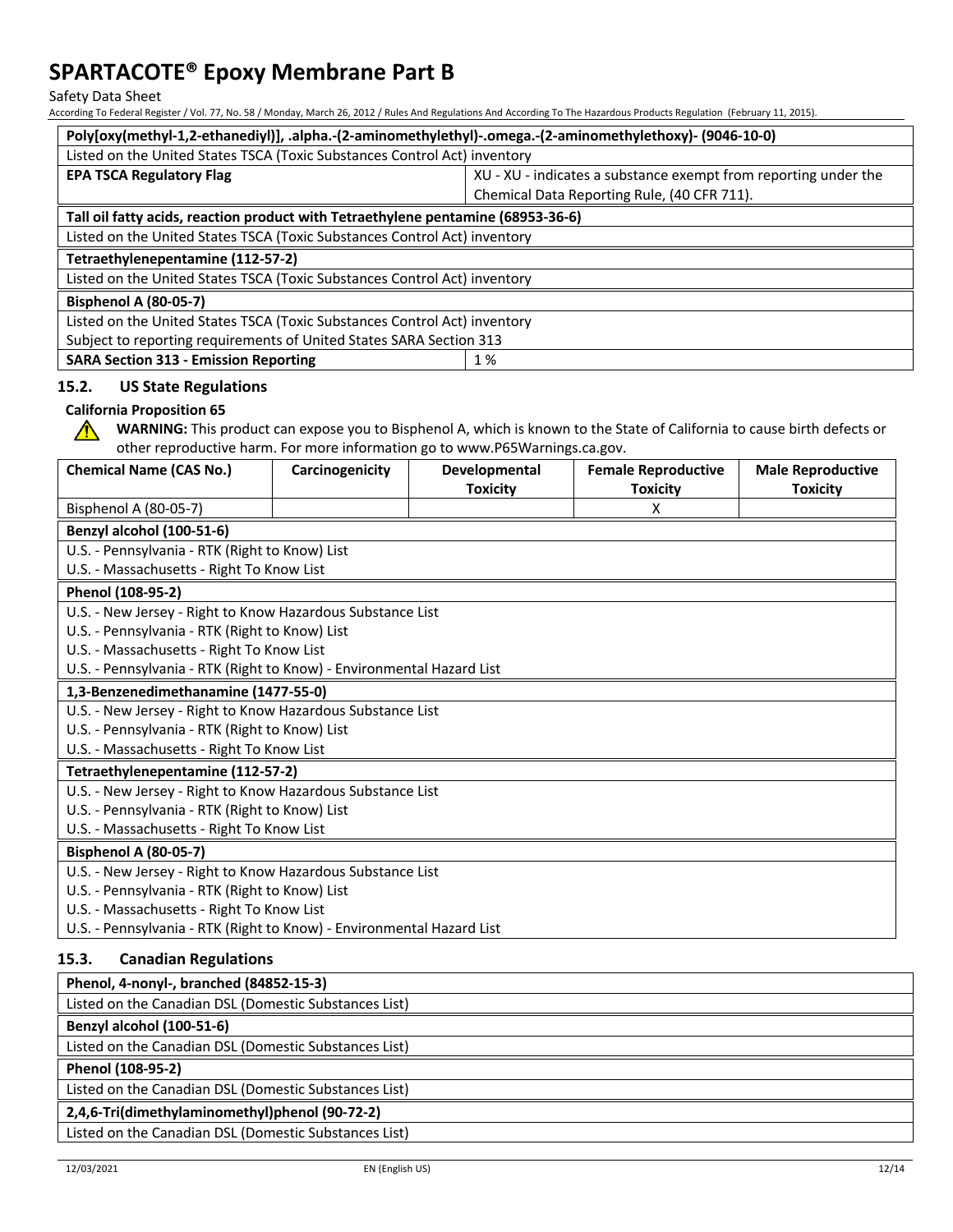Safety Data Sheet

According To Federal Register / Vol. 77, No. 58 / Monday, March 26, 2012 / Rules And Regulations And According To The Hazardous Products Regulation (February 11, 2015).

| Poly[oxy(methyl-1,2-ethanediyl)], .alpha.-(2-aminomethylethyl)-.omega.-(2-aminomethylethoxy)- (9046-10-0)            |                 |                                                                                                                |                                  |                                                                                                                          |                                             |
|----------------------------------------------------------------------------------------------------------------------|-----------------|----------------------------------------------------------------------------------------------------------------|----------------------------------|--------------------------------------------------------------------------------------------------------------------------|---------------------------------------------|
| Listed on the United States TSCA (Toxic Substances Control Act) inventory                                            |                 |                                                                                                                |                                  |                                                                                                                          |                                             |
| <b>EPA TSCA Regulatory Flag</b>                                                                                      |                 | XU - XU - indicates a substance exempt from reporting under the<br>Chemical Data Reporting Rule, (40 CFR 711). |                                  |                                                                                                                          |                                             |
| Tall oil fatty acids, reaction product with Tetraethylene pentamine (68953-36-6)                                     |                 |                                                                                                                |                                  |                                                                                                                          |                                             |
| Listed on the United States TSCA (Toxic Substances Control Act) inventory                                            |                 |                                                                                                                |                                  |                                                                                                                          |                                             |
| Tetraethylenepentamine (112-57-2)                                                                                    |                 |                                                                                                                |                                  |                                                                                                                          |                                             |
| Listed on the United States TSCA (Toxic Substances Control Act) inventory                                            |                 |                                                                                                                |                                  |                                                                                                                          |                                             |
| <b>Bisphenol A (80-05-7)</b>                                                                                         |                 |                                                                                                                |                                  |                                                                                                                          |                                             |
| Listed on the United States TSCA (Toxic Substances Control Act) inventory                                            |                 |                                                                                                                |                                  |                                                                                                                          |                                             |
| Subject to reporting requirements of United States SARA Section 313                                                  |                 |                                                                                                                |                                  |                                                                                                                          |                                             |
| <b>SARA Section 313 - Emission Reporting</b>                                                                         |                 |                                                                                                                | 1%                               |                                                                                                                          |                                             |
| 15.2.<br><b>US State Regulations</b>                                                                                 |                 |                                                                                                                |                                  |                                                                                                                          |                                             |
| <b>California Proposition 65</b><br>⚠<br>other reproductive harm. For more information go to www.P65Warnings.ca.gov. |                 |                                                                                                                |                                  | WARNING: This product can expose you to Bisphenol A, which is known to the State of California to cause birth defects or |                                             |
| <b>Chemical Name (CAS No.)</b>                                                                                       | Carcinogenicity |                                                                                                                | Developmental<br><b>Toxicity</b> | <b>Female Reproductive</b><br><b>Toxicity</b>                                                                            | <b>Male Reproductive</b><br><b>Toxicity</b> |
| Bisphenol A (80-05-7)                                                                                                |                 |                                                                                                                |                                  | Χ                                                                                                                        |                                             |
| Benzyl alcohol (100-51-6)                                                                                            |                 |                                                                                                                |                                  |                                                                                                                          |                                             |
| U.S. - Pennsylvania - RTK (Right to Know) List                                                                       |                 |                                                                                                                |                                  |                                                                                                                          |                                             |
| U.S. - Massachusetts - Right To Know List                                                                            |                 |                                                                                                                |                                  |                                                                                                                          |                                             |
| Phenol (108-95-2)                                                                                                    |                 |                                                                                                                |                                  |                                                                                                                          |                                             |
| U.S. - New Jersey - Right to Know Hazardous Substance List                                                           |                 |                                                                                                                |                                  |                                                                                                                          |                                             |
| U.S. - Pennsylvania - RTK (Right to Know) List                                                                       |                 |                                                                                                                |                                  |                                                                                                                          |                                             |
| U.S. - Massachusetts - Right To Know List                                                                            |                 |                                                                                                                |                                  |                                                                                                                          |                                             |
| U.S. - Pennsylvania - RTK (Right to Know) - Environmental Hazard List                                                |                 |                                                                                                                |                                  |                                                                                                                          |                                             |
| 1,3-Benzenedimethanamine (1477-55-0)                                                                                 |                 |                                                                                                                |                                  |                                                                                                                          |                                             |
| U.S. - New Jersey - Right to Know Hazardous Substance List                                                           |                 |                                                                                                                |                                  |                                                                                                                          |                                             |
| U.S. - Pennsylvania - RTK (Right to Know) List                                                                       |                 |                                                                                                                |                                  |                                                                                                                          |                                             |
| U.S. - Massachusetts - Right To Know List                                                                            |                 |                                                                                                                |                                  |                                                                                                                          |                                             |
| Tetraethylenepentamine (112-57-2)                                                                                    |                 |                                                                                                                |                                  |                                                                                                                          |                                             |
| U.S. - New Jersey - Right to Know Hazardous Substance List                                                           |                 |                                                                                                                |                                  |                                                                                                                          |                                             |
| U.S. - Pennsylvania - RTK (Right to Know) List                                                                       |                 |                                                                                                                |                                  |                                                                                                                          |                                             |
| U.S. - Massachusetts - Right To Know List                                                                            |                 |                                                                                                                |                                  |                                                                                                                          |                                             |
| Bisphenol A (80-05-7)                                                                                                |                 |                                                                                                                |                                  |                                                                                                                          |                                             |
| U.S. - New Jersey - Right to Know Hazardous Substance List                                                           |                 |                                                                                                                |                                  |                                                                                                                          |                                             |
| U.S. - Pennsylvania - RTK (Right to Know) List                                                                       |                 |                                                                                                                |                                  |                                                                                                                          |                                             |
| U.S. - Massachusetts - Right To Know List                                                                            |                 |                                                                                                                |                                  |                                                                                                                          |                                             |
| U.S. - Pennsylvania - RTK (Right to Know) - Environmental Hazard List                                                |                 |                                                                                                                |                                  |                                                                                                                          |                                             |
| 15.3.<br><b>Canadian Regulations</b>                                                                                 |                 |                                                                                                                |                                  |                                                                                                                          |                                             |
| Phenol, 4-nonyl-, branched (84852-15-3)                                                                              |                 |                                                                                                                |                                  |                                                                                                                          |                                             |
| Listed on the Canadian DSL (Domestic Substances List)                                                                |                 |                                                                                                                |                                  |                                                                                                                          |                                             |
| Benzyl alcohol (100-51-6)                                                                                            |                 |                                                                                                                |                                  |                                                                                                                          |                                             |
| Listed on the Canadian DSL (Domestic Substances List)                                                                |                 |                                                                                                                |                                  |                                                                                                                          |                                             |
| Phenol (108-95-2)                                                                                                    |                 |                                                                                                                |                                  |                                                                                                                          |                                             |
| Listed on the Canadian DSL (Domestic Substances List)                                                                |                 |                                                                                                                |                                  |                                                                                                                          |                                             |

### **2,4,6-Tri(dimethylaminomethyl)phenol (90-72-2)**

Listed on the Canadian DSL (Domestic Substances List)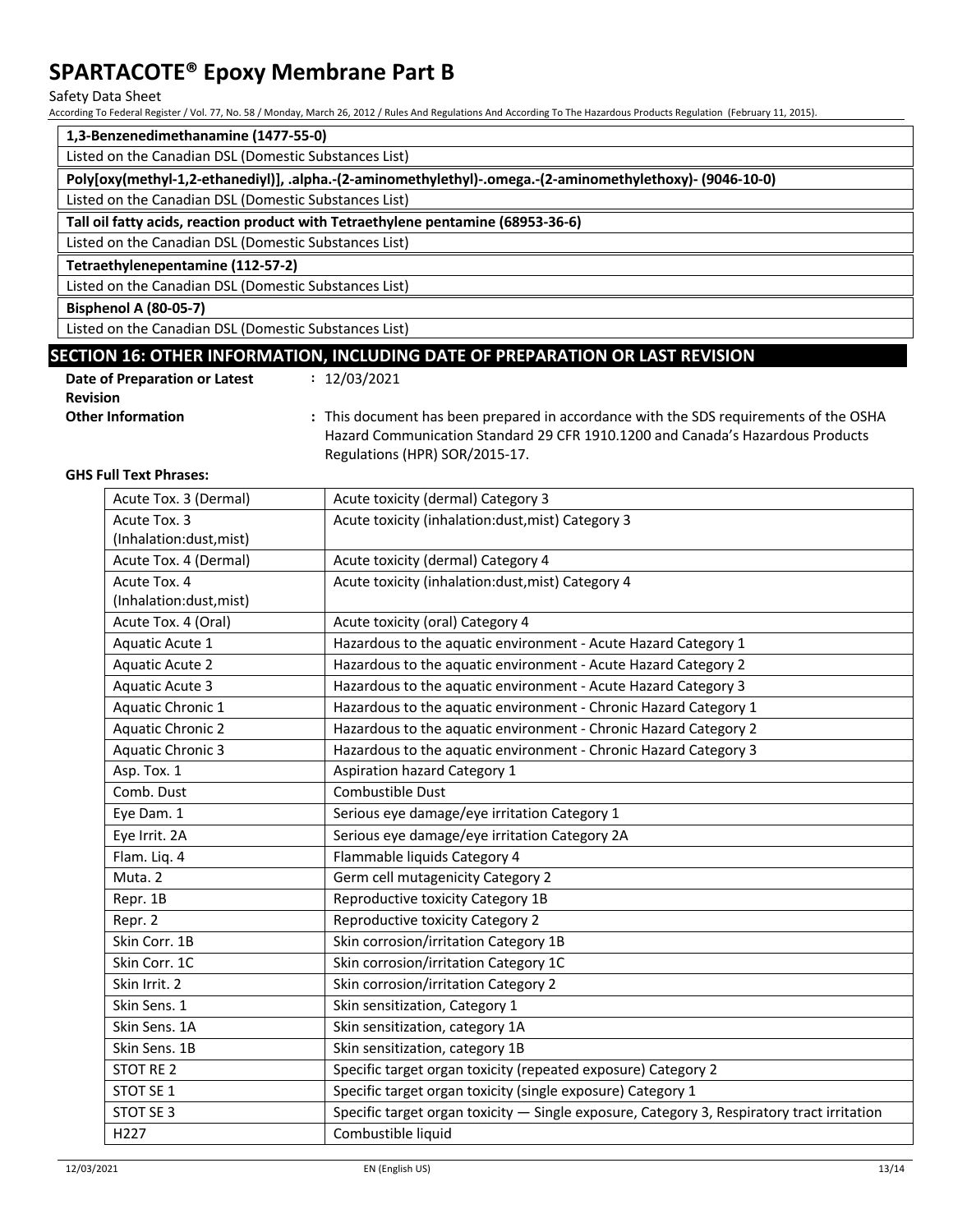#### Safety Data Sheet

According To Federal Register / Vol. 77, No. 58 / Monday, March 26, 2012 / Rules And Regulations And According To The Hazardous Products Regulation (February 11, 2015).

| 1,3-Benzenedimethanamine (1477-55-0) |  |
|--------------------------------------|--|
|--------------------------------------|--|

Listed on the Canadian DSL (Domestic Substances List)

**Poly[oxy(methyl-1,2-ethanediyl)], .alpha.-(2-aminomethylethyl)-.omega.-(2-aminomethylethoxy)- (9046-10-0)**

Listed on the Canadian DSL (Domestic Substances List)

#### **Tall oil fatty acids, reaction product with Tetraethylene pentamine (68953-36-6)**

Listed on the Canadian DSL (Domestic Substances List)

#### **Tetraethylenepentamine (112-57-2)**

Listed on the Canadian DSL (Domestic Substances List)

**Bisphenol A (80-05-7)**

Listed on the Canadian DSL (Domestic Substances List)

### **SECTION 16: OTHER INFORMATION, INCLUDING DATE OF PREPARATION OR LAST REVISION**

| Date of Preparation or Latest | : 12/03/2021                                                                                                                                                                                                                                                                                                                |
|-------------------------------|-----------------------------------------------------------------------------------------------------------------------------------------------------------------------------------------------------------------------------------------------------------------------------------------------------------------------------|
| <b>Revision</b>               |                                                                                                                                                                                                                                                                                                                             |
| <b>Other Information</b>      | : This document has bee                                                                                                                                                                                                                                                                                                     |
|                               | $\mathbf{1}$ $\mathbf{1}$ $\mathbf{2}$ $\mathbf{3}$ and $\mathbf{3}$ $\mathbf{4}$ $\mathbf{5}$ $\mathbf{5}$ $\mathbf{5}$ $\mathbf{6}$ $\mathbf{6}$ $\mathbf{7}$ $\mathbf{8}$ $\mathbf{8}$ $\mathbf{1}$ $\mathbf{1}$ $\mathbf{5}$ $\mathbf{1}$ $\mathbf{1}$ $\mathbf{5}$ $\mathbf{1}$ $\mathbf{1}$ $\mathbf{1}$ $\mathbf{1}$ |

en prepared in accordance with the SDS requirements of the OSHA Hazard Communication Standard 29 CFR 1910.1200 and Canada's Hazardous Products Regulations (HPR) SOR/2015-17.

#### **GHS Full Text Phrases:**

| Acute Tox. 3 (Dermal)                   | Acute toxicity (dermal) Category 3                                                         |
|-----------------------------------------|--------------------------------------------------------------------------------------------|
| Acute Tox. 3<br>(Inhalation:dust, mist) | Acute toxicity (inhalation:dust, mist) Category 3                                          |
| Acute Tox. 4 (Dermal)                   | Acute toxicity (dermal) Category 4                                                         |
| Acute Tox. 4<br>(Inhalation:dust, mist) | Acute toxicity (inhalation:dust, mist) Category 4                                          |
| Acute Tox. 4 (Oral)                     | Acute toxicity (oral) Category 4                                                           |
| Aquatic Acute 1                         | Hazardous to the aquatic environment - Acute Hazard Category 1                             |
| <b>Aquatic Acute 2</b>                  | Hazardous to the aquatic environment - Acute Hazard Category 2                             |
| <b>Aquatic Acute 3</b>                  | Hazardous to the aquatic environment - Acute Hazard Category 3                             |
| Aquatic Chronic 1                       | Hazardous to the aquatic environment - Chronic Hazard Category 1                           |
| <b>Aquatic Chronic 2</b>                | Hazardous to the aquatic environment - Chronic Hazard Category 2                           |
| <b>Aquatic Chronic 3</b>                | Hazardous to the aquatic environment - Chronic Hazard Category 3                           |
| Asp. Tox. 1                             | Aspiration hazard Category 1                                                               |
| Comb. Dust                              | Combustible Dust                                                                           |
| Eye Dam. 1                              | Serious eye damage/eye irritation Category 1                                               |
| Eye Irrit. 2A                           | Serious eye damage/eye irritation Category 2A                                              |
| Flam. Liq. 4                            | Flammable liquids Category 4                                                               |
| Muta. 2                                 | Germ cell mutagenicity Category 2                                                          |
| Repr. 1B                                | Reproductive toxicity Category 1B                                                          |
| Repr. 2                                 | Reproductive toxicity Category 2                                                           |
| Skin Corr. 1B                           | Skin corrosion/irritation Category 1B                                                      |
| Skin Corr. 1C                           | Skin corrosion/irritation Category 1C                                                      |
| Skin Irrit. 2                           | Skin corrosion/irritation Category 2                                                       |
| Skin Sens. 1                            | Skin sensitization, Category 1                                                             |
| Skin Sens, 1A                           | Skin sensitization, category 1A                                                            |
| Skin Sens. 1B                           | Skin sensitization, category 1B                                                            |
| STOT RE 2                               | Specific target organ toxicity (repeated exposure) Category 2                              |
| STOT SE 1                               | Specific target organ toxicity (single exposure) Category 1                                |
| STOT SE 3                               | Specific target organ toxicity - Single exposure, Category 3, Respiratory tract irritation |
| H227                                    | Combustible liquid                                                                         |